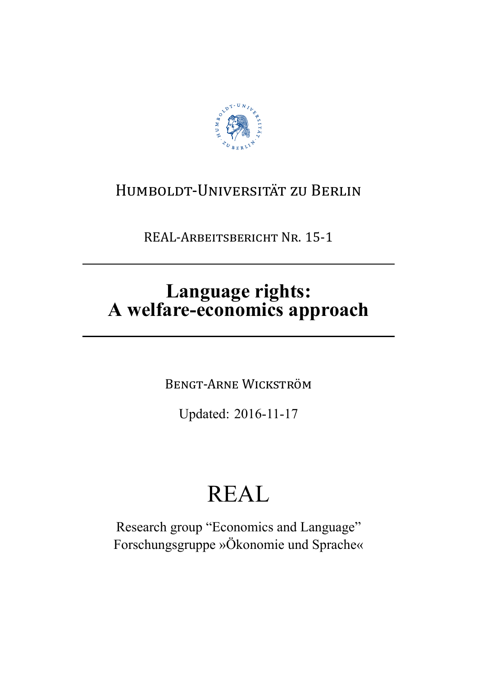

# HUMBOLDT-UNIVERSITÄT ZU BERLIN

REAL-ARBEITSBERICHT NR. 15-1

# Language rights: A welfare-economics approach

**BENGT-ARNE WICKSTRÖM** 

Updated: 2016-11-17

# **REAL**

Research group "Economics and Language" Forschungsgruppe »Ökonomie und Sprache«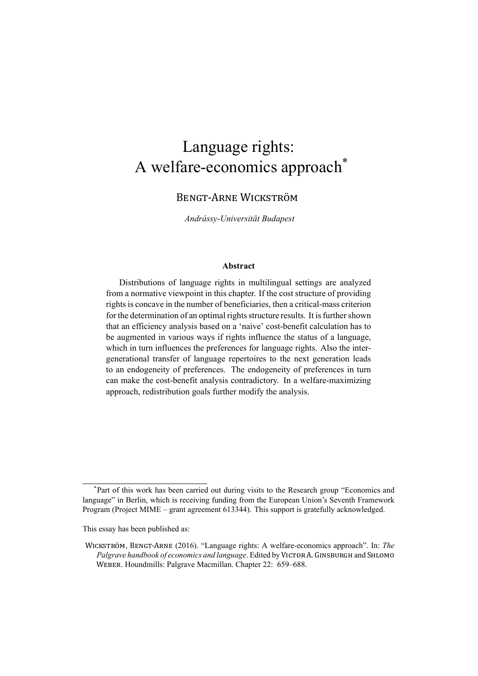## Language rights: A welfare-economics approach<sup>\*</sup>

### **BENGT-ARNE WICKSTRÖM**

Andrássy-Universität Budapest

#### Abstract

Distributions of language rights in multilingual settings are analyzed from a normative viewpoint in this chapter. If the cost structure of providing rights is concave in the number of beneficiaries, then a critical-mass criterion for the determination of an optimal rights structure results. It is further shown that an efficiency analysis based on a 'naive' cost-benefit calculation has to be augmented in various ways if rights influence the status of a language, which in turn influences the preferences for language rights. Also the intergenerational transfer of language repertoires to the next generation leads to an endogeneity of preferences. The endogeneity of preferences in turn can make the cost-benefit analysis contradictory. In a welfare-maximizing approach, redistribution goals further modify the analysis.

<sup>\*</sup>Part of this work has been carried out during visits to the Research group "Economics and language" in Berlin, which is receiving funding from the European Union's Seventh Framework Program (Project MIME – grant agreement  $613344$ ). This support is gratefully acknowledged.

This essay has been published as:

WICKSTRÖM, BENGT-ARNE (2016). "Language rights: A welfare-economics approach". In: The Palgrave handbook of economics and language. Edited by VICTOR A. GINSBURGH and SHLOMO WEBER. Houndmills: Palgrave Macmillan. Chapter 22: 659-688.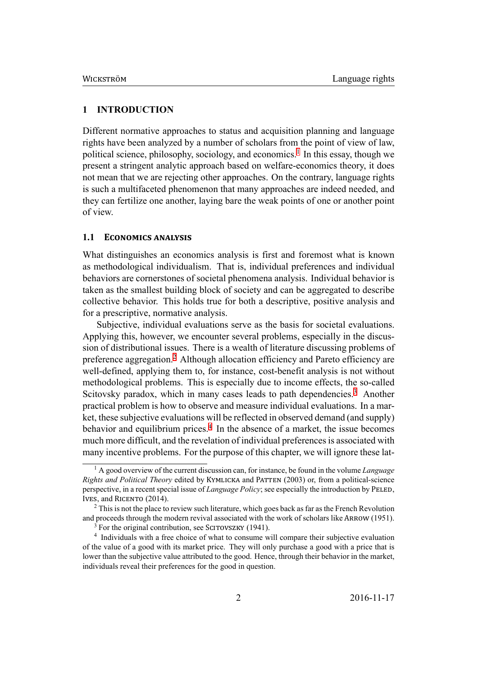#### **1 INTRODUCTION**

Different normative approaches to status and acquisition planning and language rights have been analyzed by a number of scholars from the point of view of law, political science, philosophy, sociology, and economics.<sup>1</sup> In this essay, though we present a stringent analytic approach based on welfare-economics theory, it does not mean that we are rejecting other approaches. On the contrary, language rights is such a multifaceted phenomenon that many approach[e](#page-2-0)s are indeed needed, and they can fertilize one another, laying bare the weak points of one or another point of view.

#### **1.1 ECONOMICS ANALYSIS**

What distinguishes an economics analysis is first and foremost what is known as methodological individualism. That is, individual preferences and individual behaviors are cornerstones of societal phenomena analysis. Individual behavior is taken as the smallest building block of society and can be aggregated to describe collective behavior. This holds true for both a descriptive, positive analysis and for a prescriptive, normative analysis.

Subjective, individual evaluations serve as the basis for societal evaluations. Applying this, however, we encounter several problems, especially in the discussion of distributional issues. There is a wealth of literature discussing problems of preference aggregation.<sup>2</sup> Although allocation efficiency and Pareto efficiency are well-defined, applying them to, for instance, cost-benefit analysis is not without methodological problems. This is especially due to income effects, the so-called Scitovsky paradox, wh[ic](#page-2-1)h in many cases leads to path dependencies.<sup>3</sup> Another practical problem is how to observe and measure individual evaluations. In a market, these subjective evaluations will be reflected in observed demand (and supply) b[e](#page-2-2)havior and equilibrium prices.<sup>4</sup> In the absence of a market, the issue becomes much more difficult, and the revelation of individual preferences is associated with many incentive problems. For the purpose of this chapter, we will ignore these lat-

<sup>1</sup> A good overview of the current dis[cu](#page-2-3)ssion can, for instance, be found in the volume *Language Rights and Political Theory* edited by KYMLICKA and PATTEN (2003) or, from a political-science perspective, in a recent special issue of *Language Policy*; see especially the introduction by PELED, IVES, and RICENTO (2014).

<span id="page-2-0"></span><sup>&</sup>lt;sup>2</sup> This is not the place to review such literature, which goes back as far as the French Revolution and proceeds through the modern revival associated with the work of scholars like ARROW (1951).

 $3$  For the original contribution, see SCITOVSZKY (1941).

<span id="page-2-3"></span><span id="page-2-2"></span><span id="page-2-1"></span><sup>&</sup>lt;sup>4</sup> Individuals with a free choice of what to consume will compare their subjective evaluation of the value of a good with its market price. They will only purchase a good with a price that is lower than the subjective value attributed to the good. Hence, through their behavior in the market, individuals reveal their preferences for the good in question.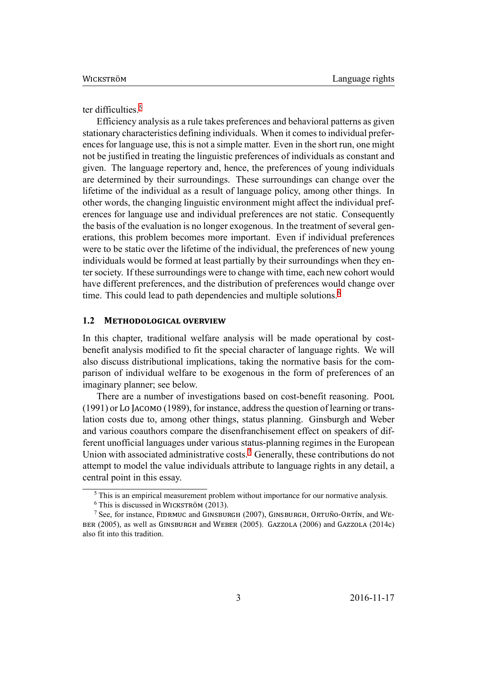ter difficulties.<sup>5</sup>

Efficiency analysis as a rule takes preferences and behavioral patterns as given stationary characteristics defining individuals. When it comes to individual preferences for lang[ua](#page-3-0)ge use, this is not a simple matter. Even in the short run, one might not be justified in treating the linguistic preferences of individuals as constant and given. The language repertory and, hence, the preferences of young individuals are determined by their surroundings. These surroundings can change over the lifetime of the individual as a result of language policy, among other things. In other words, the changing linguistic environment might affect the individual preferences for language use and individual preferences are not static. Consequently the basis of the evaluation is no longer exogenous. In the treatment of several generations, this problem becomes more important. Even if individual preferences were to be static over the lifetime of the individual, the preferences of new young individuals would be formed at least partially by their surroundings when they enter society. If these surroundings were to change with time, each new cohort would have different preferences, and the distribution of preferences would change over time. This could lead to path dependencies and multiple solutions.<sup>6</sup>

#### **1.2 METHODOLOGICAL OVERVIEW**

In this chapter, traditional welfare analysis will be made opera[ti](#page-3-1)onal by costbenefit analysis modified to fit the special character of language rights. We will also discuss distributional implications, taking the normative basis for the comparison of individual welfare to be exogenous in the form of preferences of an imaginary planner; see below.

There are a number of investigations based on cost-benefit reasoning. POOL  $(1991)$  or Lo JACOMO  $(1989)$ , for instance, address the question of learning or translation costs due to, among other things, status planning. Ginsburgh and Weber and various coauthors compare the disenfranchisement effect on speakers of different unofficial languages under various status-planning regimes in the European Union with associated administrative costs.<sup>7</sup> Generally, these contributions do not attempt to model the value individuals attribute to language rights in any detail, a central point in this essay.

<sup>&</sup>lt;sup>5</sup> T[h](#page-3-2)is is an empirical measurement problem without importance for our normative analysis.

 $6$  This is discussed in WICKSTRÖM (2013).

<span id="page-3-2"></span><span id="page-3-1"></span><span id="page-3-0"></span> $^7$  See, for instance, FIDRMUC and GINSBURGH (2007), GINSBURGH, ORTUÑO-ORTÍN, and WE-BER  $(2005)$ , as well as GINSBURGH and WEBER  $(2005)$ . GAZZOLA  $(2006)$  and GAZZOLA  $(2014c)$ also fit into this tradition.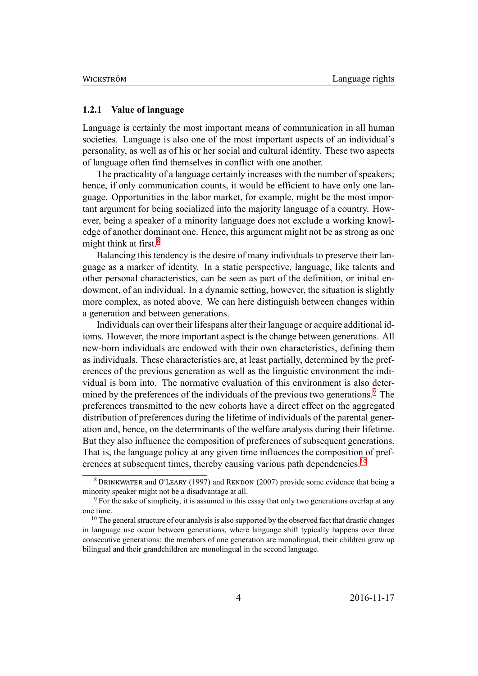#### **1.2.1 Value of language**

Language is certainly the most important means of communication in all human societies. Language is also one of the most important aspects of an individual's personality, as well as of his or her social and cultural identity. These two aspects of language often find themselves in conflict with one another.

The practicality of a language certainly increases with the number of speakers; hence, if only communication counts, it would be efficient to have only one language. Opportunities in the labor market, for example, might be the most important argument for being socialized into the majority language of a country. However, being a speaker of a minority language does not exclude a working knowledge of another dominant one. Hence, this argument might not be as strong as one might think at first. $8$ 

Balancing this tendency is the desire of many individuals to preserve their language as a marker of identity. In a static perspective, language, like talents and other personal cha[ra](#page-4-0)cteristics, can be seen as part of the definition, or initial endowment, of an individual. In a dynamic setting, however, the situation is slightly more complex, as noted above. We can here distinguish between changes within a generation and between generations.

Individuals can over their lifespans alter their language or acquire additional idioms. However, the more important aspect is the change between generations. All new-born individuals are endowed with their own characteristics, defining them as individuals. These characteristics are, at least partially, determined by the preferences of the previous generation as well as the linguistic environment the individual is born into. The normative evaluation of this environment is also determined by the preferences of the individuals of the previous two generations.<sup>9</sup> The preferences transmitted to the new cohorts have a direct effect on the aggregated distribution of preferences during the lifetime of individuals of the parental generation and, hence, on the determinants of the welfare analysis during their lif[et](#page-4-1)ime. But they also influence the composition of preferences of subsequent generations. That is, the language policy at any given time influences the composition of preferences at subsequent times, thereby causing various path dependencies.<sup>10</sup>

 $8$  DRINKWATER and O'LEARY (1997) and RENDON (2007) provide some evidence that being a minority speaker might not be a disadvantage at all.

<sup>9</sup> For the sake of simplicity, it is assumed in this essay that only two generations ov[erla](#page-4-2)p at any one time.

<span id="page-4-2"></span><span id="page-4-1"></span><span id="page-4-0"></span><sup>&</sup>lt;sup>10</sup> The general structure of our analysis is also supported by the observed fact that drastic changes in language use occur between generations, where language shift typically happens over three consecutive generations: the members of one generation are monolingual, their children grow up bilingual and their grandchildren are monolingual in the second language.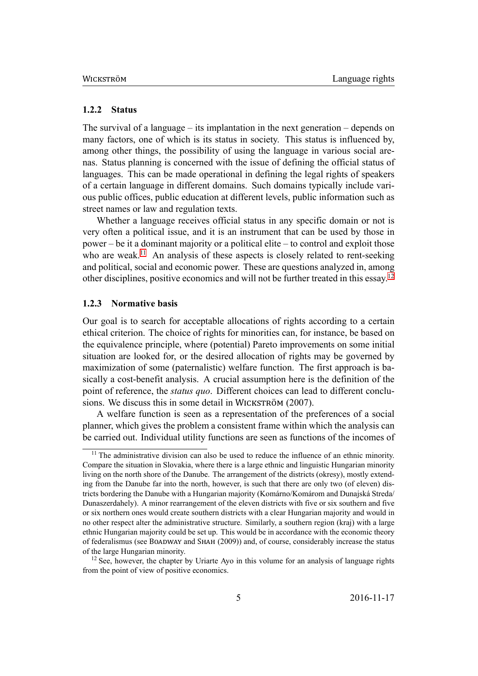#### **1.2.2 Status**

The survival of a language – its implantation in the next generation – depends on many factors, one of which is its status in society. This status is influenced by, among other things, the possibility of using the language in various social arenas. Status planning is concerned with the issue of defining the official status of languages. This can be made operational in defining the legal rights of speakers of a certain language in different domains. Such domains typically include various public offices, public education at different levels, public information such as street names or law and regulation texts.

Whether a language receives official status in any specific domain or not is very often a political issue, and it is an instrument that can be used by those in power – be it a dominant majority or a political elite – to control and exploit those who are weak.<sup>11</sup> An analysis of these aspects is closely related to rent-seeking and political, social and economic power. These are questions analyzed in, among other disciplines, positive economics and will not be further treated in this essay.<sup>12</sup>

#### **1.2.3 Normative basis**

Our goal is to search for acceptable allocations of rights according to a certa[in](#page-5-0) ethical criterion. The choice of rights for minorities can, for instance, be based on the equivalence principle, where (potential) Pareto improvements on some initial situation are looked for, or the desired allocation of rights may be governed by maximization of some (paternalistic) welfare function. The first approach is basically a cost-benefit analysis. A crucial assumption here is the definition of the point of reference, the *status quo*. Different choices can lead to different conclusions. We discuss this in some detail in WICKSTRÖM (2007).

A welfare function is seen as a representation of the preferences of a social planner, which gives the problem a consistent frame within which the analysis can be carried out. Individual utility functions are seen as functions of the incomes of

 $11$  The administrative division can also be used to reduce the influence of an ethnic minority. Compare the situation in Slovakia, where there is a large ethnic and linguistic Hungarian minority living on the north shore of the Danube. The arrangement of the districts (okresy), mostly extending from the Danube far into the north, however, is such that there are only two (of eleven) districts bordering the Danube with a Hungarian majority (Komárno/Komárom and Dunajská Streda/ Dunaszerdahely). A minor rearrangement of the eleven districts with five or six southern and five or six northern ones would create southern districts with a clear Hungarian majority and would in no other respect alter the administrative structure. Similarly, a southern region (kraj) with a large ethnic Hungarian majority could be set up. This would be in accordance with the economic theory of federalismus (see BOADWAY and SHAH (2009)) and, of course, considerably increase the status of the large Hungarian minority.

<span id="page-5-0"></span><sup>&</sup>lt;sup>12</sup> See, however, the chapter by Uriarte Ayo in this volume for an analysis of language rights from the point of view of positive economics.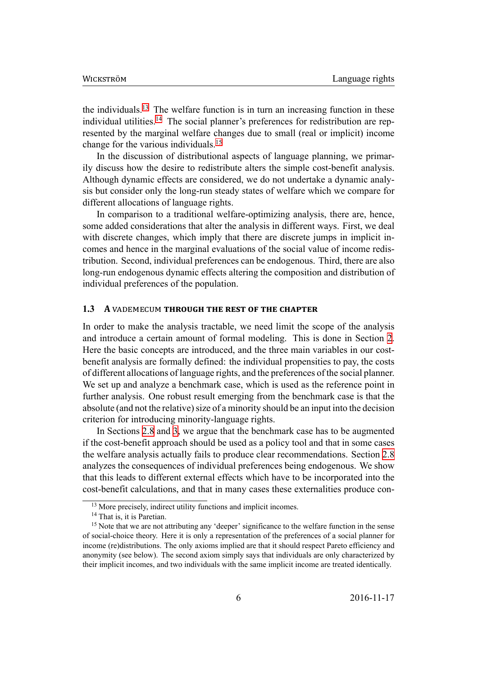the individuals.<sup>13</sup> The welfare function is in turn an increasing function in these individual utilities.<sup>14</sup> The social planner's preferences for redistribution are represented by the marginal welfare changes due to small (real or implicit) income change for the [va](#page-6-0)rious individuals.<sup>15</sup>

In the discussi[on](#page-6-1) of distributional aspects of language planning, we primarily discuss how the desire to redistribute alters the simple cost-benefit analysis. Although dynamic effects are con[sid](#page-6-2)ered, we do not undertake a dynamic analysis but consider only the long-run steady states of welfare which we compare for different allocations of language rights.

In comparison to a traditional welfare-optimizing analysis, there are, hence, some added considerations that alter the analysis in different ways. First, we deal with discrete changes, which imply that there are discrete jumps in implicit incomes and hence in the marginal evaluations of the social value of income redistribution. Second, individual preferences can be endogenous. Third, there are also long-run endogenous dynamic effects altering the composition and distribution of individual preferences of the population.

#### **1.3** A VADEMECUM THROUGH THE REST OF THE CHAPTER

In order to make the analysis tractable, we need limit the scope of the analysis and introduce a certain amount of formal modeling. This is done in Section 2. Here the basic concepts are introduced, and the three main variables in our costbenefit analysis are formally defined: the individual propensities to pay, the costs of different allocations of language rights, and the preferences of the social plann[er](#page-7-0). We set up and analyze a benchmark case, which is used as the reference point in further analysis. One robust result emerging from the benchmark case is that the absolute (and not the relative) size of a minority should be an input into the decision criterion for introducing minority-language rights.

In Sections 2.8 and 3, we argue that the benchmark case has to be augmented if the cost-benefit approach should be used as a policy tool and that in some cases the welfare analysis actually fails to produce clear recommendations. Section 2.8 analyzes the co[nseq](#page-14-0)uen[ce](#page-19-0)s of individual preferences being endogenous. We show that this leads to different external effects which have to be incorporated into the cost-benefit calculations, and that in many cases these externalities producec[on-](#page-14-0)

<sup>&</sup>lt;sup>13</sup> More precisely, indirect utility functions and implicit incomes.

<sup>&</sup>lt;sup>14</sup> That is, it is Paretian.

<span id="page-6-2"></span><span id="page-6-1"></span><span id="page-6-0"></span><sup>&</sup>lt;sup>15</sup> Note that we are not attributing any 'deeper' significance to the welfare function in the sense of social-choice theory. Here it is only a representation of the preferences of a social planner for income (re)distributions. The only axioms implied are that it should respect Pareto efficiency and anonymity (see below). The second axiom simply says that individuals are only characterized by their implicit incomes, and two individuals with the same implicit income are treated identically.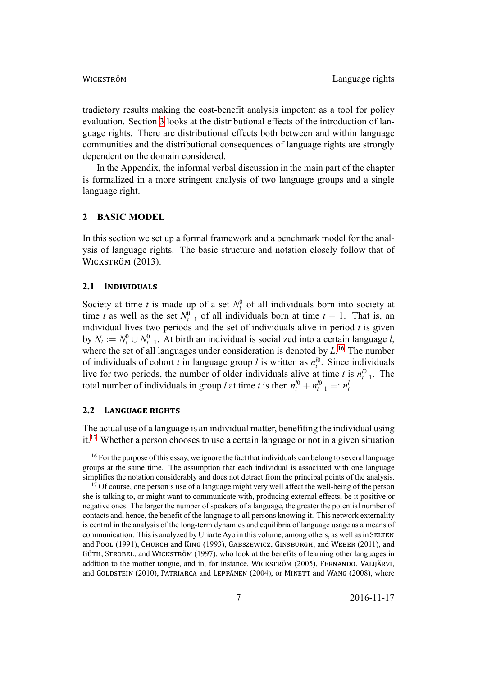tradictory results making the cost-benefit analysis impotent as a tool for policy evaluation. Section 3 looks at the distributional effects of the introduction of language rights. There are distributional effects both between and within language communities and the distributional consequences of language rights are strongly dependent on the d[om](#page-19-0)ain considered.

In the Appendix, the informal verbal discussion in the main part of the chapter is formalized in a more stringent analysis of two language groups and a single language right.

## **2 BASIC MODEL**

<span id="page-7-0"></span>In this section we set up a formal framework and a benchmark model for the analysis of language rights. The basic structure and notation closely follow that of WICKSTRÖM (2013).

#### **2.1 INDIVIDUALS**

Society at time *t* is made up of a set  $N_t^0$  of all individuals born into society at time *t* as well as the set  $N_{t-1}^0$  of all individuals born at time  $t-1$ . That is, an individual lives two periods and the set of individuals alive in period *t* is given by  $N_t := N_t^0 \cup N_{t-1}^0$ . At birth an individual is socialized into a certain language *l*, where the set of all languages under consideration is denoted by *L*. <sup>16</sup> The number of individuals of cohort *t* in language group *l* is written as  $n_t^{l0}$ . Since individuals live for two periods, the number of older individuals alive at time *t* is  $n_{t-1}^{l0}$ . The total number of individuals in group *l* at time *t* is then  $n_t^{l0} + n_{t-1}^{l0} =: n_t^{l}$  $n_t^{l0} + n_{t-1}^{l0} =: n_t^{l}$  $n_t^{l0} + n_{t-1}^{l0} =: n_t^{l}$ .

#### **2.2 LANGUAGE RIGHTS**

The actual use of a language is an individual matter, benefiting the individual using it.<sup>17</sup> Whether a person chooses to use a certain language or not in a given situation

<sup>&</sup>lt;sup>16</sup> For the purpose of this essay, we ignore the fact that individuals can belong to several language groups at the same time. The assumption that each individual is associated with one language si[mp](#page-7-2)lifies the notation considerably and does not detract from the principal points of the analysis.

<span id="page-7-2"></span><span id="page-7-1"></span><sup>&</sup>lt;sup>17</sup> Of course, one person's use of a language might very well affect the well-being of the person she is talking to, or might want to communicate with, producing external effects, be it positive or negative ones. The larger the number of speakers of a language, the greater the potential number of contacts and, hence, the benefit of the language to all persons knowing it. This network externality is central in the analysis of the long-term dynamics and equilibria of language usage as a means of communication. This is analyzed by Uriarte Ayo in this volume, among others, as well as in SELTEN and POOL (1991), CHURCH and KING (1993), GABSZEWICZ, GINSBURGH, and WEBER (2011), and GÜTH, STROBEL, and WICKSTRÖM (1997), who look at the benefits of learning other languages in addition to the mother tongue, and in, for instance, WICKSTRÖM (2005), FERNANDO, VALIJÄRVI, and GOLDSTEIN (2010), PATRIARCA and LEPPÄNEN (2004), or MINETT and WANG (2008), where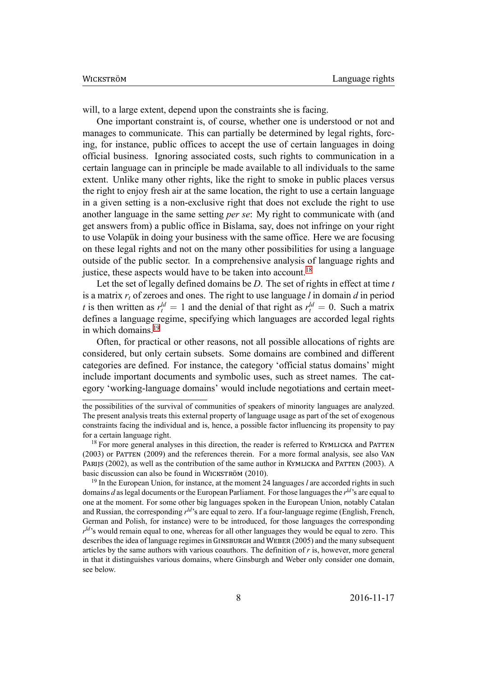will, to a large extent, depend upon the constraints she is facing.

One important constraint is, of course, whether one is understood or not and manages to communicate. This can partially be determined by legal rights, forcing, for instance, public offices to accept the use of certain languages in doing official business. Ignoring associated costs, such rights to communication in a certain language can in principle be made available to all individuals to the same extent. Unlike many other rights, like the right to smoke in public places versus the right to enjoy fresh air at the same location, the right to use a certain language in a given setting is a non-exclusive right that does not exclude the right to use another language in the same setting *per se*: My right to communicate with (and get answers from) a public office in Bislama, say, does not infringe on your right to use Volapük in doing your business with the same office. Here we are focusing on these legal rights and not on the many other possibilities for using a language outside of the public sector. In a comprehensive analysis of language rights and justice, these aspects would have to be taken into account.<sup>18</sup>

Let the set of legally defined domains be *D*. The set of rights in effect at time *t* is a matrix *r<sup>t</sup>* of zeroes and ones. The right to use language *l* in domain *d* in period *t* is then w[r](#page-8-0)itten as  $r_t^{ld} = 1$  and the denial of that right as  $r_t^{ld} = 0$ . Such a matrix defines a language regime, specifying which languages are accorded legal rights in which domains.<sup>19</sup>

Often, for practical or other reasons, not all possible allocations of rights are considered, but only certain subsets. Some domains are combined and different categories are def[ine](#page-8-1)d. For instance, the category 'official status domains' might include important documents and symbolic uses, such as street names. The category 'working-language domains' would include negotiations and certain meet-

the possibilities of the survival of communities of speakers of minority languages are analyzed. The present analysis treats this external property of language usage as part of the set of exogenous constraints facing the individual and is, hence, a possible factor influencing its propensity to pay for a certain language right.

 $18$  For more general analyses in this direction, the reader is referred to KYMLICKA and PATTEN  $(2003)$  or PATTEN  $(2009)$  and the references therein. For a more formal analysis, see also VAN PARIJS (2002), as well as the contribution of the same author in KYMLICKA and PATTEN (2003). A basic discussion can also be found in WICKSTRÖM (2010).

<span id="page-8-1"></span><span id="page-8-0"></span><sup>&</sup>lt;sup>19</sup> In the European Union, for instance, at the moment 24 languages *l* are accorded rights in such domains *d* as legal documents or the European Parliament. For those languages the *r ld*'s are equal to one at the moment. For some other big languages spoken in the European Union, notably Catalan and Russian, the corresponding  $r^{ld}$ 's are equal to zero. If a four-language regime (English, French, German and Polish, for instance) were to be introduced, for those languages the corresponding *r ld*'s would remain equal to one, whereas for all other languages they would be equal to zero. This describes the idea of language regimes in GINSBURGH and WEBER (2005) and the many subsequent articles by the same authors with various coauthors. The definition of *r* is, however, more general in that it distinguishes various domains, where Ginsburgh and Weber only consider one domain, see below.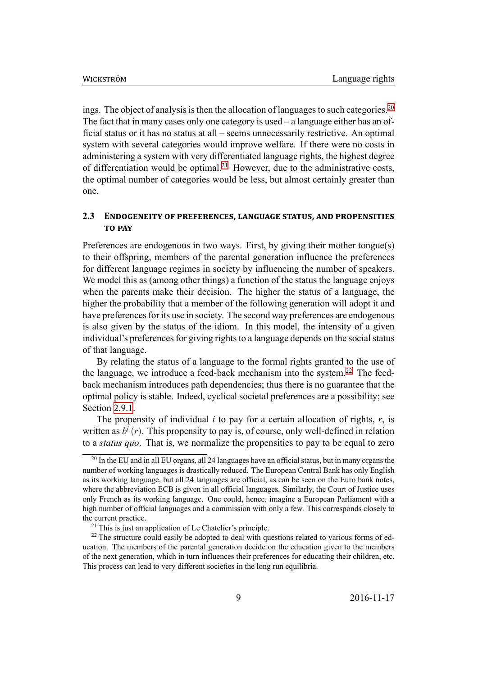ings. The object of analysis is then the allocation of languages to such categories.<sup>20</sup> The fact that in many cases only one category is used – a language either has an official status or it has no status at all – seems unnecessarily restrictive. An optimal system with several categories would improve welfare. If there were no costs [in](#page-9-0) administering a system with very differentiated language rights, the highest degree of differentiation would be optimal.<sup>21</sup> However, due to the administrative costs, the optimal number of categories would be less, but almost certainly greater than one.

#### 2.3 ENDOGENEITY OF PREFERENCES, LANGUAGE STATUS, AND PROPENSITIES **TO PAY**

Preferences are endogenous in two ways. First, by giving their mother tongue(s) to their offspring, members of the parental generation influence the preferences for different language regimes in society by influencing the number of speakers. We model this as (among other things) a function of the status the language enjoys when the parents make their decision. The higher the status of a language, the higher the probability that a member of the following generation will adopt it and have preferences for its use in society. The second way preferences are endogenous is also given by the status of the idiom. In this model, the intensity of a given individual's preferences for giving rights to a language depends on the social status of that language.

By relating the status of a language to the formal rights granted to the use of the language, we introduce a feed-back mechanism into the system.<sup>22</sup> The feedback mechanism introduces path dependencies; thus there is no guarantee that the optimal policy is stable. Indeed, cyclical societal preferences are a possibility; see Section 2.9.1.

The propensity of individual  $i$  to pay for a certain allocation of rights,  $r$ , is written as  $b^i(r)$ . This propensity to pay is, of course, only well-defined in relation to a *stat[us qu](#page-14-1)o*. That is, we normalize the propensities to pay to be equal to zero

<sup>&</sup>lt;sup>20</sup> In the EU and in all EU organs, all 24 languages have an official status, but in many organs the number of working languages is drastically reduced. The European Central Bank has only English as its working language, but all 24 languages are official, as can be seen on the Euro bank notes, where the abbreviation ECB is given in all official languages. Similarly, the Court of Justice uses only French as its working language. One could, hence, imagine a European Parliament with a high number of official languages and a commission with only a few. This corresponds closely to the current practice.

<span id="page-9-0"></span> $21$  This is just an application of Le Chatelier's principle.

 $22$  The structure could easily be adopted to deal with questions related to various forms of education. The members of the parental generation decide on the education given to the members of the next generation, which in turn influences their preferences for educating their children, etc. This process can lead to very different societies in the long run equilibria.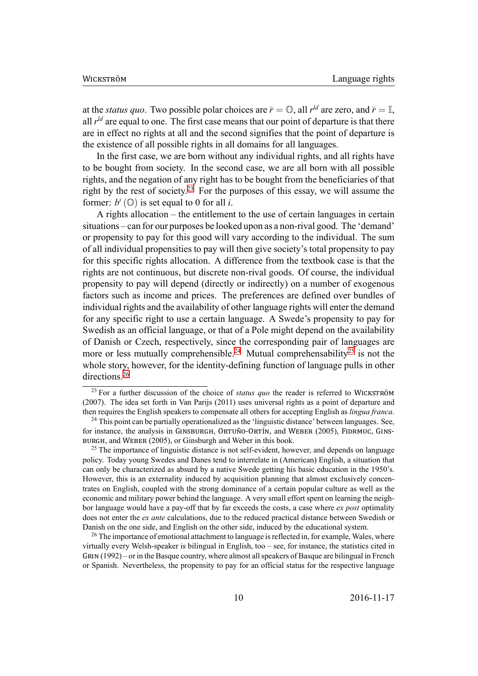at the *status quo*. Two possible polar choices are  $\bar{r} = \mathbb{O}$ , all  $r^{ld}$  are zero, and  $\bar{r} = \mathbb{I}$ , all  $r<sup>ld</sup>$  are equal to one. The first case means that our point of departure is that there are in effect no rights at all and the second signifies that the point of departure is the existence of all possible rights in all domains for all languages.

In the first case, we are born without any individual rights, and all rights have to be bought from society. In the second case, we are all born with all possible rights, and the negation of any right has to be bought from the beneficiaries of that right by the rest of society.<sup>23</sup> For the purposes of this essay, we will assume the former:  $b^i$  ( $\mathbb{O}$ ) is set equal to 0 for all *i*.

A rights allocation – the entitlement to the use of certain languages in certain situations – can for our pur[pos](#page-10-0)es be looked upon as a non-rival good. The 'demand' or propensity to pay for this good will vary according to the individual. The sum of all individual propensities to pay will then give society's total propensity to pay for this specific rights allocation. A difference from the textbook case is that the rights are not continuous, but discrete non-rival goods. Of course, the individual propensity to pay will depend (directly or indirectly) on a number of exogenous factors such as income and prices. The preferences are defined over bundles of individual rights and the availability of other language rights will enter the demand for any specific right to use a certain language. A Swede's propensity to pay for Swedish as an official language, or that of a Pole might depend on the availability of Danish or Czech, respectively, since the corresponding pair of languages are more or less mutually comprehensible.<sup>24</sup> Mutual comprehensability<sup>25</sup> is not the whole story, however, for the identity-defining function of language pulls in other directions.<sup>26</sup>

<span id="page-10-3"></span><sup>26</sup> The importance of emotional attachment to language is reflected in, for example, Wales, where virtually every Welsh-speaker is bilingual in English, too – see, for instance, the statistics cited in GRIN  $(1992)$  – or in the Basque country, where almost all speakers of Basque are bilingual in French or Spanish. Nevertheless, the propensity to pay for an official status for the respective language

<sup>&</sup>lt;sup>23</sup>F[o](#page-10-2)r a further discussion of the choice of *[st](#page-10-1)atus quo* the reader is referred to WICKSTRÖM (2007). The idea set forth in Van Parijs (2011) uses universal rights as a point of departure and then require[s th](#page-10-3)e English speakers to compensate all others for accepting English as *lingua franca*.

<span id="page-10-4"></span><span id="page-10-0"></span><sup>&</sup>lt;sup>24</sup> This point can be partially operationalized as the 'linguistic distance' between languages. See, for instance, the analysis in GINSBURGH, ORTUÑO-ORTÍN, and WEBER (2005), FIDRMUC, GINS-BURGH, and WEBER (2005), or Ginsburgh and Weber in this book.

<span id="page-10-2"></span><span id="page-10-1"></span> $25$  The importance of linguistic distance is not self-evident, however, and depends on language policy. Today young Swedes and Danes tend to interrelate in (American) English, a situation that can only be characterized as absurd by a native Swede getting his basic education in the 1950's. However, this is an externality induced by acquisition planning that almost exclusively concentrates on English, coupled with the strong dominance of a certain popular culture as well as the economic and military power behind the language. A very small effort spent on learning the neighbor language would have a pay-off that by far exceeds the costs, a case where *ex post* optimality does not enter the *ex ante* calculations, due to the reduced practical distance between Swedish or Danish on the one side, and English on the other side, induced by the educational system.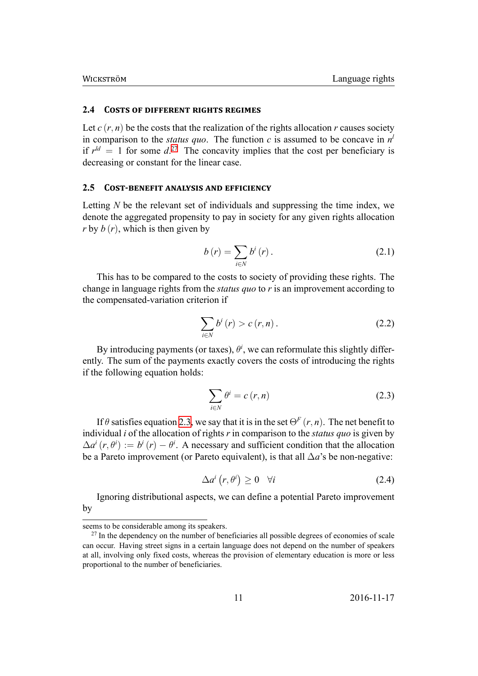#### **2.4 COSTS OF DIFFERENT RIGHTS REGIMES**

Let  $c(r, n)$  be the costs that the realization of the rights allocation *r* causes society in comparison to the *status quo*. The function  $c$  is assumed to be concave in  $n^l$ if  $r^{ld} = 1$  for some  $d^{27}$ . The concavity implies that the cost per beneficiary is decreasing or constant for the linear case.

#### **2.5 COST-BENEFIT ANALYSIS AND EFFICIENCY**

Letting *N* be the relevant set of individuals and suppressing the time index, we denote the aggregated propensity to pay in society for any given rights allocation  $r$  by  $b(r)$ , which is then given by

$$
b(r) = \sum_{i \in N} b^{i}(r).
$$
 (2.1)

This has to be compared to the costs to society of providing these rights. The change in language rights from the *status quo* to *r* is an improvement according to the compensated-variation criterion if

$$
\sum_{i\in N}b^{i}(r)>c(r,n)\,.
$$
\n
$$
(2.2)
$$

By introducing payments (or taxes),  $\theta^i$ , we can reformulate this slightly differently. The sum of the payments exactly covers the costs of introducing the rights if the following equation holds:

<span id="page-11-1"></span>
$$
\sum_{i \in N} \theta^i = c(r, n) \tag{2.3}
$$

If  $\theta$  satisfies equation 2.3, we say that it is in the set  $\Theta^F(r, n)$ . The net benefit to individual *i* of the allocation of rights *r* in comparison to the *status quo* is given by  $\Delta a^i(r, \theta^i) := b^i(r) - \theta^i$ . A necessary and sufficient condition that the allocation be a Pareto improvement [\(or](#page-11-1) Pareto equivalent), is that all ∆*a*'s be non-negative:

<span id="page-11-2"></span>
$$
\Delta a^i (r, \theta^i) \ge 0 \quad \forall i \tag{2.4}
$$

Ignoring distributional aspects, we can define a potential Pareto improvement by

seems to be considerable among its speakers.

<span id="page-11-0"></span><sup>&</sup>lt;sup>27</sup> In the dependency on the number of beneficiaries all possible degrees of economies of scale can occur. Having street signs in a certain language does not depend on the number of speakers at all, involving only fixed costs, whereas the provision of elementary education is more or less proportional to the number of beneficiaries.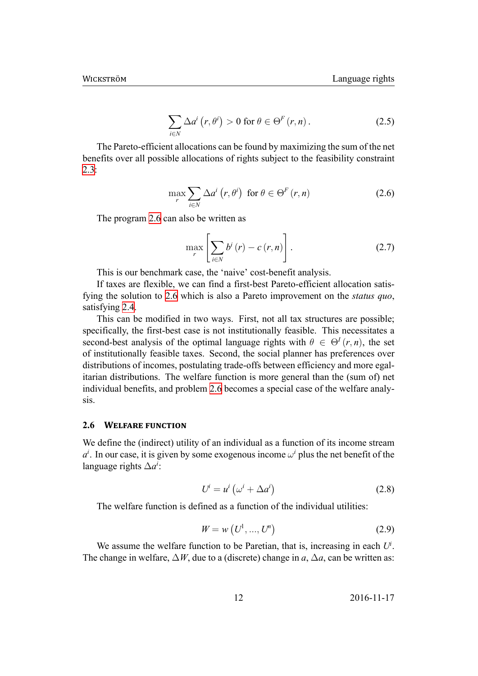$$
\sum_{i\in N} \Delta a^i (r, \theta^i) > 0 \text{ for } \theta \in \Theta^F(r, n). \tag{2.5}
$$

The Pareto-efficient allocations can be found by maximizing the sum of the net benefits over all possible allocations of rights subject to the feasibility constraint  $2.3:$ 

$$
\max_{r} \sum_{i \in N} \Delta a^{i} \left( r, \theta^{i} \right) \text{ for } \theta \in \Theta^{F} \left( r, n \right) \tag{2.6}
$$

The program 2.6 can also be written as

<span id="page-12-1"></span><span id="page-12-0"></span>
$$
\max_{r} \left[ \sum_{i \in N} b^{i} \left( r \right) - c \left( r, n \right) \right]. \tag{2.7}
$$

This is our benchmark case, the 'naive' cost-benefit analysis.

If taxes are flexible, we can find a first-best Pareto-efficient allocation satisfying the solution to 2.6 which is also a Pareto improvement on the *status quo*, satisfying 2.4.

This can be modified in two ways. First, not all tax structures are possible; specifically, the first-[bes](#page-12-0)t case is not institutionally feasible. This necessitates a second-be[st a](#page-11-2)nalysis of the optimal language rights with  $\theta \in \Theta^I(r, n)$ , the set of institutionally feasible taxes. Second, the social planner has preferences over distributions of incomes, postulating trade-offs between efficiency and more egalitarian distributions. The welfare function is more general than the (sum of) net individual benefits, and problem 2.6 becomes a special case of the welfare analysis.

#### **2.6 WELFARE FUNCTION**

We define the (indirect) utility of an individual as a function of its income stream  $a^i$ . In our case, it is given by some exogenous income  $\omega^i$  plus the net benefit of the language rights ∆*a i* :

$$
U^i = u^i \left( \omega^i + \Delta a^i \right) \tag{2.8}
$$

The welfare function is defined as a function of the individual utilities:

$$
W = w\left(U^1, ..., U^n\right) \tag{2.9}
$$

We assume the welfare function to be Paretian, that is, increasing in each  $U^i$ . The change in welfare,  $\Delta W$ , due to a (discrete) change in *a*,  $\Delta a$ , can be written as:

$$
12 \t\t 2016-11-17
$$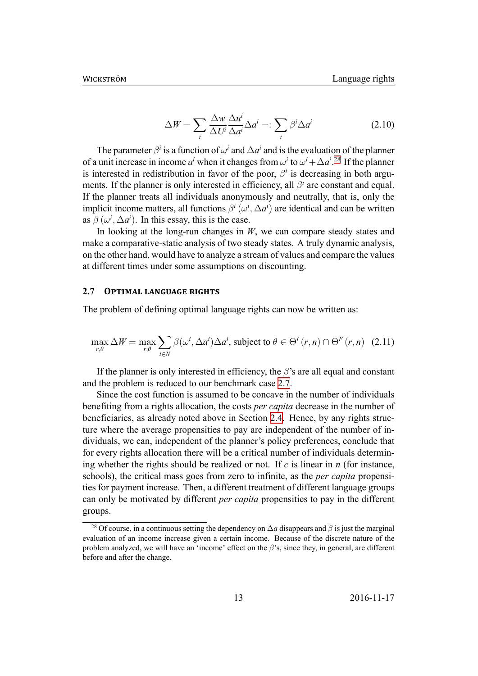$$
\Delta W = \sum_{i} \frac{\Delta w}{\Delta U^{i}} \frac{\Delta u^{i}}{\Delta a^{i}} \Delta a^{i} =: \sum_{i} \beta^{i} \Delta a^{i}
$$
 (2.10)

The parameter  $\beta^i$  is a function of  $\omega^i$  and  $\Delta a^i$  and is the evaluation of the planner of a unit increase in income  $a^i$  when it changes from  $\omega^i$  to  $\omega^i + \Delta a^{i}$ .<sup>28</sup> If the planner is interested in redistribution in favor of the poor,  $\beta^{i}$  is decreasing in both arguments. If the planner is only interested in efficiency, all  $\beta^{i}$  are constant and equal. If the planner treats all individuals anonymously and neutrally, that is, only the implicit income matters, all functions  $\beta^i(\omega^i, \Delta a^i)$  are identical and can be written as  $\beta$  ( $\omega^i$ ,  $\Delta a^i$ ). In this essay, this is the case.

In looking at the long-run changes in  $W$ , we can compare steady states and make a comparative-static analysis of two steady states. A truly dynamic analysis, on the other hand, would have to analyze a stream of values and compare the values at different times under some assumptions on discounting.

#### $2.7$ **OPTIMAL LANGUAGE RIGHTS**

The problem of defining optimal language rights can now be written as:

$$
\max_{r,\theta} \Delta W = \max_{r,\theta} \sum_{i \in N} \beta(\omega^i, \Delta a^i) \Delta a^i, \text{ subject to } \theta \in \Theta^I(r, n) \cap \Theta^F(r, n) \quad (2.11)
$$

If the planner is only interested in efficiency, the  $\beta$ 's are all equal and constant and the problem is reduced to our benchmark case 2.7.

Since the cost function is assumed to be concave in the number of individuals benefiting from a rights allocation, the costs *per capita* decrease in the number of beneficiaries, as already noted above in Section 2.4. Hence, by any rights structure where the average propensities to pay are independent of the number of individuals, we can, independent of the planner's policy preferences, conclude that for every rights allocation there will be a critical number of individuals determining whether the rights should be realized or not. If c is linear in  $n$  (for instance, schools), the critical mass goes from zero to infinite, as the *per capita* propensities for payment increase. Then, a different treatment of different language groups can only be motivated by different *per capita* propensities to pay in the different groups.

<span id="page-13-0"></span><sup>&</sup>lt;sup>28</sup> Of course, in a continuous setting the dependency on  $\Delta a$  disappears and  $\beta$  is just the marginal evaluation of an income increase given a certain income. Because of the discrete nature of the problem analyzed, we will have an 'income' effect on the  $\beta$ 's, since they, in general, are different before and after the change.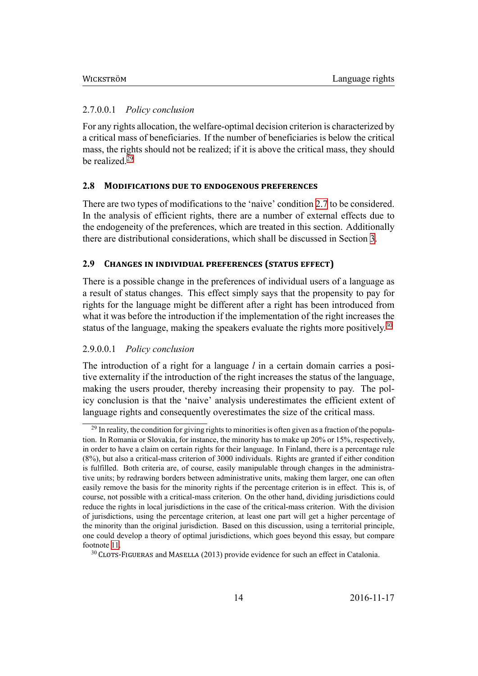## 2.7.0.0.1 *Policy conclusion*

For any rights allocation, the welfare-optimal decision criterion is characterized by a critical mass of beneficiaries. If the number of beneficiaries is below the critical mass, the rights should not be realized; if it is above the critical mass, they should be realized<sup>29</sup>

#### **2.8 MODIFICATIONS DUE TO ENDOGENOUS PREFERENCES**

<span id="page-14-0"></span>There are t[wo](#page-14-2) types of modifications to the 'naive' condition 2.7 to be considered. In the analysis of efficient rights, there are a number of external effects due to the endogeneity of the preferences, which are treated in this section. Additionally there are distributional considerations, which shall be discus[sed](#page-12-1) in Section 3.

## 2.9 CHANGES IN INDIVIDUAL PREFERENCES (STATUS EFFECT)

There is a possible change in the preferences of individual users of a lang[ua](#page-19-0)ge as a result of status changes. This effect simply says that the propensity to pay for rights for the language might be different after a right has been introduced from what it was before the introduction if the implementation of the right increases the status of the language, making the speakers evaluate the rights more positively.<sup>30</sup>

## 2.9.0.0.1 *Policy conclusion*

The introduction of a right for a language *l* in a certain domain carries a po[si](#page-14-3)tive externality if the introduction of the right increases the status of the language, making the users prouder, thereby increasing their propensity to pay. The policy conclusion is that the 'naive' analysis underestimates the efficient extent of language rights and consequently overestimates the size of the critical mass.

<span id="page-14-2"></span><span id="page-14-1"></span><sup>&</sup>lt;sup>29</sup> In reality, the condition for giving rights to minorities is often given as a fraction of the population. In Romania or Slovakia, for instance, the minority has to make up 20% or 15%, respectively, in order to have a claim on certain rights for their language. In Finland, there is a percentage rule (8%), but also a critical-mass criterion of 3000 individuals. Rights are granted if either condition is fulfilled. Both criteria are, of course, easily manipulable through changes in the administrative units; by redrawing borders between administrative units, making them larger, one can often easily remove the basis for the minority rights if the percentage criterion is in effect. This is, of course, not possible with a critical-mass criterion. On the other hand, dividing jurisdictions could reduce the rights in local jurisdictions in the case of the critical-mass criterion. With the division of jurisdictions, using the percentage criterion, at least one part will get a higher percentage of the minority than the original jurisdiction. Based on this discussion, using a territorial principle, one could develop a theory of optimal jurisdictions, which goes beyond this essay, but compare footnote 11.

<span id="page-14-3"></span> $30$  CLOTS-FIGUERAS and MASELLA (2013) provide evidence for such an effect in Catalonia.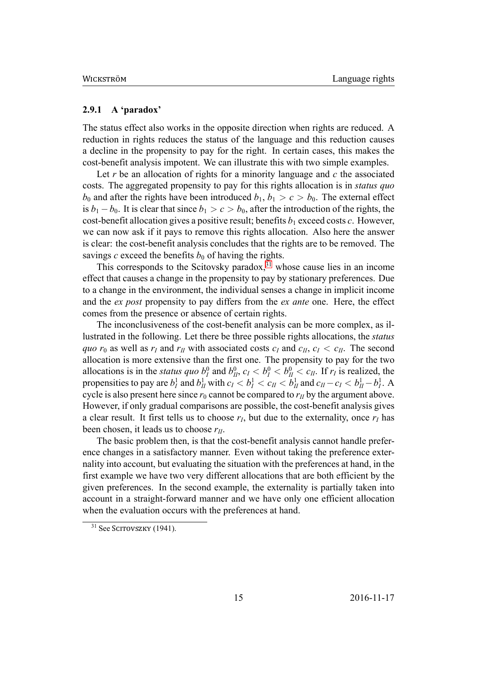#### **2.9.1 A 'paradox'**

The status effect also works in the opposite direction when rights are reduced. A reduction in rights reduces the status of the language and this reduction causes a decline in the propensity to pay for the right. In certain cases, this makes the cost-benefit analysis impotent. We can illustrate this with two simple examples.

Let *r* be an allocation of rights for a minority language and *c* the associated costs. The aggregated propensity to pay for this rights allocation is in *status quo b*<sub>0</sub> and after the rights have been introduced  $b_1$ ,  $b_1 > c > b_0$ . The external effect is  $b_1 - b_0$ . It is clear that since  $b_1 > c > b_0$ , after the introduction of the rights, the cost-benefit allocation gives a positive result; benefits  $b_1$  exceed costs  $c$ . However, we can now ask if it pays to remove this rights allocation. Also here the answer is clear: the cost-benefit analysis concludes that the rights are to be removed. The savings  $c$  exceed the benefits  $b_0$  of having the rights.

This corresponds to the Scitovsky paradox, $31$  whose cause lies in an income effect that causes a change in the propensity to pay by stationary preferences. Due to a change in the environment, the individual senses a change in implicit income and the *ex post* propensity to pay differs from [th](#page-15-0)e *ex ante* one. Here, the effect comes from the presence or absence of certain rights.

The inconclusiveness of the cost-benefit analysis can be more complex, as illustrated in the following. Let there be three possible rights allocations, the *status quo*  $r_0$  as well as  $r_I$  and  $r_I$  with associated costs  $c_I$  and  $c_{II}$ ,  $c_I < c_{II}$ . The second allocation is more extensive than the first one. The propensity to pay for the two allocations is in the *status quo*  $b_I^0$  and  $b_{II}^0$ ,  $c_I < b_I^0 < b_{II}^0 < c_{II}$ . If  $r_I$  is realized, the propensities to pay are  $b_l^1$  and  $b_{ll}^1$  with  $c_l < b_l^1 < c_{ll} < b_{ll}^1$  and  $c_{ll} - c_l < b_{ll}^1 - b_l^1$ . A cycle is also present here since  $r_0$  cannot be compared to  $r_I$  by the argument above. However, if only gradual comparisons are possible, the cost-benefit analysis gives a clear result. It first tells us to choose  $r_I$ , but due to the externality, once  $r_I$  has been chosen, it leads us to choose *rII*.

The basic problem then, is that the cost-benefit analysis cannot handle preference changes in a satisfactory manner. Even without taking the preference externality into account, but evaluating the situation with the preferences at hand, in the first example we have two very different allocations that are both efficient by the given preferences. In the second example, the externality is partially taken into account in a straight-forward manner and we have only one efficient allocation when the evaluation occurs with the preferences at hand.

<span id="page-15-1"></span><span id="page-15-0"></span> $31$  See Scirovszky (1941).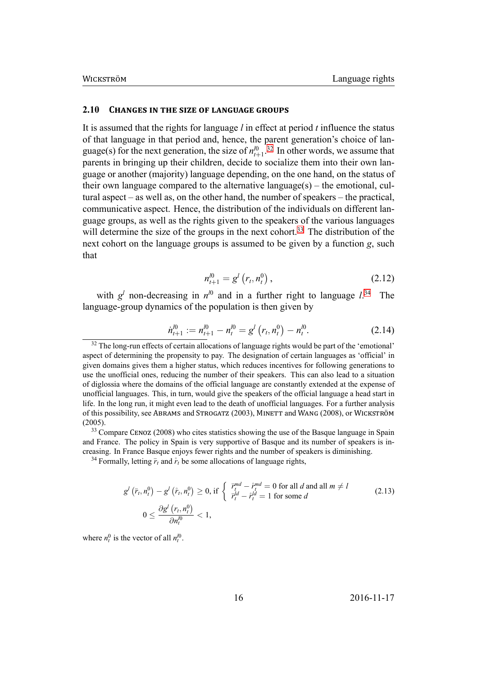#### 2.10 **CHANGES IN THE SIZE OF LANGUAGE GROUPS**

It is assumed that the rights for language  $l$  in effect at period  $t$  influence the status of that language in that period and, hence, the parent generation's choice of language(s) for the next generation, the size of  $n_{i+1}^{(0)}$ .<sup>32</sup> In other words, we assume that parents in bringing up their children, decide to socialize them into their own language or another (majority) language depending, on the one hand, on the status of their own language compared to the alternative language $(s)$  – the emotional, cultural aspect – as well as, on the other hand, the number of speakers – the practical, communicative aspect. Hence, the distribution of the individuals on different language groups, as well as the rights given to the speakers of the various languages will determine the size of the groups in the next cohort.<sup>33</sup> The distribution of the next cohort on the language groups is assumed to be given by a function g, such that

$$
n_{t+1}^{l0} = g^l(r_t, n_t^0), \qquad (2.12)
$$

with  $g^l$  non-decreasing in  $n^{l0}$  and in a further right to language  $l^{34}$ . The language-group dynamics of the population is then given by

$$
\dot{n}_{t+1}^{l0} := n_{t+1}^{l0} - n_t^{l0} = g^l(r_t, n_t^0) - n_t^{l0}.
$$
 (2.14)

<sup>33</sup> Compare CENOZ (2008) who cites statistics showing the use of the Basque language in Spain and France. The policy in Spain is very supportive of Basque and its number of speakers is increasing. In France Basque enjoys fewer rights and the number of speakers is diminishing.

<sup>34</sup> Formally, letting  $\bar{r}_t$  and  $\dot{r}_t$  be some allocations of language rights,

$$
g^{l}\left(\bar{r}_{t}, n_{t}^{0}\right) - g^{l}\left(\mathring{r}_{t}, n_{t}^{0}\right) \ge 0, \text{ if }\begin{cases} \bar{r}_{t}^{md} - \mathring{r}_{t}^{md} = 0 \text{ for all } d \text{ and all } m \ne l \\ \bar{r}_{t}^{ld} - \mathring{r}_{t}^{ld} = 1 \text{ for some } d \end{cases}
$$
\n
$$
0 \le \frac{\partial g^{l}\left(r_{t}, n_{t}^{0}\right)}{\partial n_{t}^{0}} < 1,
$$
\n(2.13)

where  $n_t^0$  is the vector of all  $n_t^{10}$ .

2016-11-17

<span id="page-16-0"></span> $32$  The long-run effects of certain allocations of language rights would be part of the 'emotional' aspect of determining the propensity to pay. The designation of certain languages as 'official' in given domains gives them a higher status, which reduces incentives for following generations to use the unofficial ones, reducing the number of their speakers. This can also lead to a situation of diglossia where the domains of the official language are constantly extended at the expense of unofficial languages. This, in turn, would give the speakers of the official language a head start in life. In the long run, it might even lead to the death of unofficial languages. For a further analysis of this possibility, see ABRAMS and STROGATZ (2003), MINETT and WANG (2008), or WICKSTRÖM  $(2005).$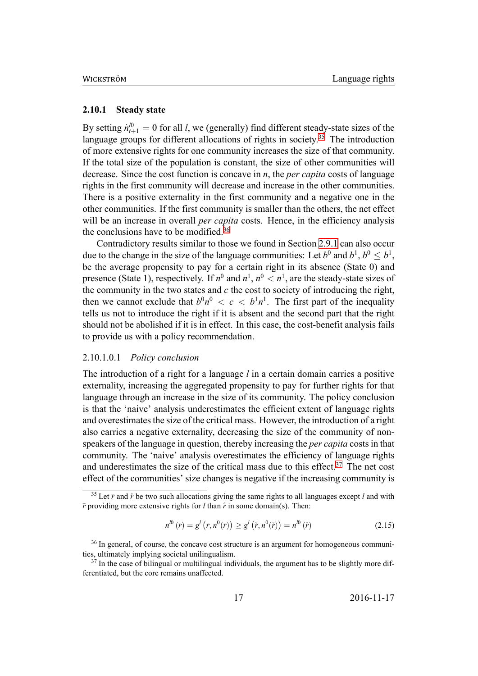#### **2.10.1 Steady state**

By setting  $\dot{n}_{t+1}^{l0} = 0$  for all *l*, we (generally) find different steady-state sizes of the language groups for different allocations of rights in society.<sup>35</sup> The introduction of more extensive rights for one community increases the size of that community. If the total size of the population is constant, the size of other communities will decrease. Since the cost function is concave in *n*, the *per capi[ta](#page-17-0)* costs of language rights in the first community will decrease and increase in the other communities. There is a positive externality in the first community and a negative one in the other communities. If the first community is smaller than the others, the net effect will be an increase in overall *per capita* costs. Hence, in the efficiency analysis the conclusions have to be modified.<sup>36</sup>

Contradictory results similar to those we found in Section 2.9.1 can also occur due to the change in the size of the language communities: Let  $b^0$  and  $b^1$ ,  $b^0 \leq b^1$ , be the average propensity to pay fo[r a](#page-17-1) certain right in its absence (State 0) and presence (State 1), respectively. If  $n^0$  and  $n^1$ ,  $n^0 < n^1$ , are the [steady](#page-14-1)-state sizes of the community in the two states and *c* the cost to society of introducing the right, then we cannot exclude that  $b^0n^0 < c < b^1n^1$ . The first part of the inequality tells us not to introduce the right if it is absent and the second part that the right should not be abolished if it is in effect. In this case, the cost-benefit analysis fails to provide us with a policy recommendation.

#### 2.10.1.0.1 *Policy conclusion*

The introduction of a right for a language *l* in a certain domain carries a positive externality, increasing the aggregated propensity to pay for further rights for that language through an increase in the size of its community. The policy conclusion is that the 'naive' analysis underestimates the efficient extent of language rights and overestimates the size of the critical mass. However, the introduction of a right also carries a negative externality, decreasing the size of the community of nonspeakers of the language in question, thereby increasing the *per capita* costs in that community. The 'naive' analysis overestimates the efficiency of language rights and underestimates the size of the critical mass due to this effect. $37$  The net cost effect of the communities' size changes is negative if the increasing community is

$$
n^{l0}(\bar{r}) = g^l(\bar{r}, n^0(\bar{r})) \ge g^l(\hat{r}, n^0(\hat{r})) = n^{l0}(\hat{r})
$$
\n(2.15)

<span id="page-17-0"></span><sup>36</sup> In general, of course, the concave cost structure is an argument for homogeneous communities, ultimately implying societal unilingualism.

 $35$  Let  $\bar{r}$  and  $\dot{r}$  be two such allocations giving the same rights to all languages except *l* and with  $\bar{r}$  providing more extensive rights for *l* than  $\dot{r}$  in some domain(s). Then:

<span id="page-17-1"></span> $37$  In the case of bilingual or multilingual individuals, the argument has to be slightly more differentiated, but the core remains unaffected.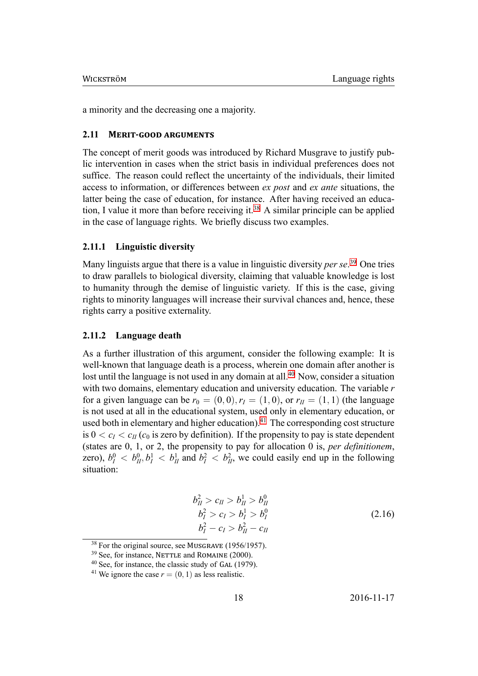a minority and the decreasing one a majority.

#### **2.11 MERIT-GOOD ARGUMENTS**

The concept of merit goods was introduced by Richard Musgrave to justify public intervention in cases when the strict basis in individual preferences does not suffice. The reason could reflect the uncertainty of the individuals, their limited access to information, or differences between *ex post* and *ex ante* situations, the latter being the case of education, for instance. After having received an education, I value it more than before receiving it.<sup>38</sup> A similar principle can be applied in the case of language rights. We briefly discuss two examples.

#### **2.11.1 Linguistic diversity**

Many linguists argue that there is a value in linguistic diversity *per se*. <sup>39</sup> One tries to draw parallels to biological diversity, claiming that valuable knowledge is lost to humanity through the demise of linguistic variety. If this is the case, giving rights to minority languages will increase their survival chances and, [he](#page-18-0)nce, these rights carry a positive externality.

#### **2.11.2 Language death**

As a further illustration of this argument, consider the following example: It is well-known that language death is a process, wherein one domain after another is lost until the language is not used in any domain at all.<sup>40</sup> Now, consider a situation with two domains, elementary education and university education. The variable *r* for a given language can be  $r_0 = (0,0)$ ,  $r_I = (1,0)$ , or  $r_{II} = (1,1)$  (the language is not used at all in the educational system, used only [in](#page-18-1) elementary education, or used both in elementary and higher education). $41$  The corresponding cost structure is  $0 < c_I < c_I$  ( $c_0$  is zero by definition). If the propensity to pay is state dependent (states are 0, 1, or 2, the propensity to pay for allocation 0 is, *per definitionem*, zero),  $b_l^0 < b_{II}^0$ ,  $b_I^1 < b_{II}^1$  and  $b_I^2 < b_{II}^2$ , we c[oul](#page-18-2)d easily end up in the following situation:

$$
b_H^2 > c_H > b_H^1 > b_H^0
$$
  
\n
$$
b_I^2 > c_I > b_I^1 > b_I^0
$$
  
\n
$$
b_I^2 - c_I > b_H^2 - c_H
$$
\n(2.16)

 $38$  For the original source, see MUSGRAVE (1956/1957).

<sup>&</sup>lt;sup>39</sup> See, for instance, NETTLE and ROMAINE (2000).

 $40$  See, for instance, the classic study of GAL (1979).

<span id="page-18-2"></span><span id="page-18-1"></span><span id="page-18-0"></span><sup>&</sup>lt;sup>41</sup> We ignore the case  $r = (0, 1)$  as less realistic.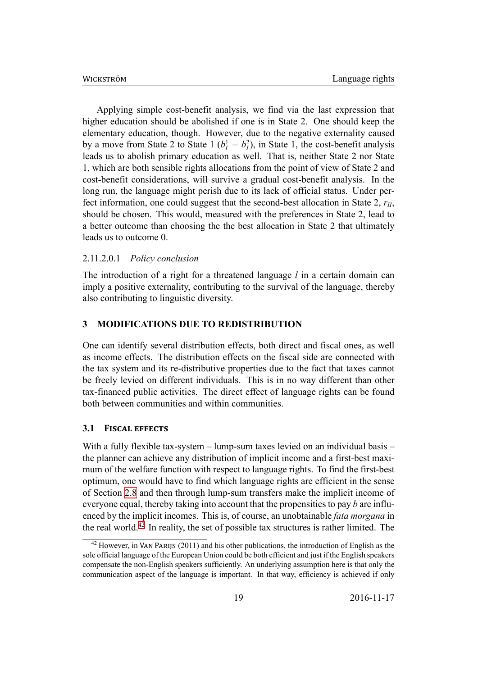Applying simple cost-benefit analysis, we find via the last expression that higher education should be abolished if one is in State 2. One should keep the elementary education, though. However, due to the negative externality caused by a move from State 2 to State 1  $(b_I^1 - b_I^2)$ , in State 1, the cost-benefit analysis leads us to abolish primary education as well. That is, neither State 2 nor State 1, which are both sensible rights allocations from the point of view of State 2 and cost-benefit considerations, will survive a gradual cost-benefit analysis. In the long run, the language might perish due to its lack of official status. Under perfect information, one could suggest that the second-best allocation in State 2, *rII*, should be chosen. This would, measured with the preferences in State 2, lead to a better outcome than choosing the the best allocation in State 2 that ultimately leads us to outcome 0.

#### 2.11.2.0.1 *Policy conclusion*

The introduction of a right for a threatened language *l* in a certain domain can imply a positive externality, contributing to the survival of the language, thereby also contributing to linguistic diversity.

#### **3 MODIFICATIONS DUE TO REDISTRIBUTION**

<span id="page-19-0"></span>One can identify several distribution effects, both direct and fiscal ones, as well as income effects. The distribution effects on the fiscal side are connected with the tax system and its re-distributive properties due to the fact that taxes cannot be freely levied on different individuals. This is in no way different than other tax-financed public activities. The direct effect of language rights can be found both between communities and within communities.

#### **3.1 FISCAL EFFECTS**

With a fully flexible tax-system – lump-sum taxes levied on an individual basis – the planner can achieve any distribution of implicit income and a first-best maximum of the welfare function with respect to language rights. To find the first-best optimum, one would have to find which language rights are efficient in the sense of Section 2.8 and then through lump-sum transfers make the implicit income of everyone equal, thereby taking into account that the propensities to pay *b* are influenced by the implicit incomes. This is, of course, an unobtainable *fata morgana* in the real w[orld.](#page-14-0)<sup>42</sup> In reality, the set of possible tax structures is rather limited. The

<span id="page-19-1"></span> $42$  However, in VAN PARIJS (2011) and his other publications, the introduction of English as the sole official language of the European Union could be both efficient and just if the English speakers compensate the n[on](#page-19-1)-English speakers sufficiently. An underlying assumption here is that only the communication aspect of the language is important. In that way, efficiency is achieved if only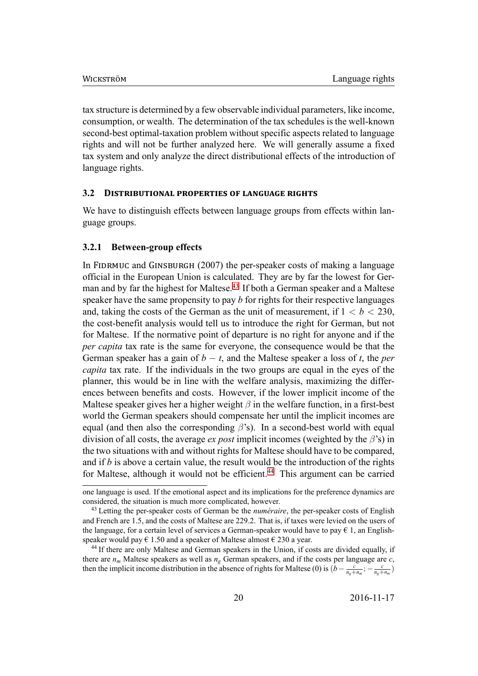tax structure is determined by a few observable individual parameters, like income, consumption, or wealth. The determination of the tax schedules is the well-known second-best optimal-taxation problem without specific aspects related to language rights and will not be further analyzed here. We will generally assume a fixed tax system and only analyze the direct distributional effects of the introduction of language rights.

#### 3.2 **DISTRIBUTIONAL PROPERTIES OF LANGUAGE RIGHTS**

We have to distinguish effects between language groups from effects within language groups.

#### **3.2.1 Between-group effects**

In FIDRMUC and GINSBURGH (2007) the per-speaker costs of making a language official in the European Union is calculated. They are by far the lowest for German and by far the highest for Maltese.<sup>43</sup> If both a German speaker and a Maltese speaker have the same propensity to pay *b* for rights for their respective languages and, taking the costs of the German as the unit of measurement, if  $1 < b < 230$ , the cost-benefit analysis would tell us [to](#page-20-0) introduce the right for German, but not for Maltese. If the normative point of departure is no right for anyone and if the *per capita* tax rate is the same for everyone, the consequence would be that the German speaker has a gain of  $b - t$ , and the Maltese speaker a loss of *t*, the *per capita* tax rate. If the individuals in the two groups are equal in the eyes of the planner, this would be in line with the welfare analysis, maximizing the differences between benefits and costs. However, if the lower implicit income of the Maltese speaker gives her a higher weight *β* in the welfare function, in a first-best world the German speakers should compensate her until the implicit incomes are equal (and then also the corresponding *β*'s). In a second-best world with equal division of all costs, the average *ex post* implicit incomes (weighted by the *β*'s) in the two situations with and without rights for Maltese should have to be compared, and if *b* is above a certain value, the result would be the introduction of the rights for Maltese, although it would not be efficient.<sup>44</sup> This argument can be carried

one language is used. If the emotional aspect and its implications for the preference dynamics are considered, the situation is much more complicated, however.

<sup>43</sup> Letting the per-speaker costs of German be the *num[ér](#page-20-1)aire*, the per-speaker costs of English and French are 1.5, and the costs of Maltese are 229.2. That is, if taxes were levied on the users of the language, for a certain level of services a German-speaker would have to pay  $\epsilon$  1, an Englishspeaker would pay  $\epsilon$  1.50 and a speaker of Maltese almost  $\epsilon$  230 a year.

<span id="page-20-1"></span><span id="page-20-0"></span><sup>44</sup> If there are only Maltese and German speakers in the Union, if costs are divided equally, if there are  $n_m$  Maltese speakers as well as  $n_g$  German speakers, and if the costs per language are *c*, then the implicit income distribution in the absence of rights for Maltese (0) is  $(b - \frac{c}{n_g + n_m}; -\frac{c}{n_g + n_m})$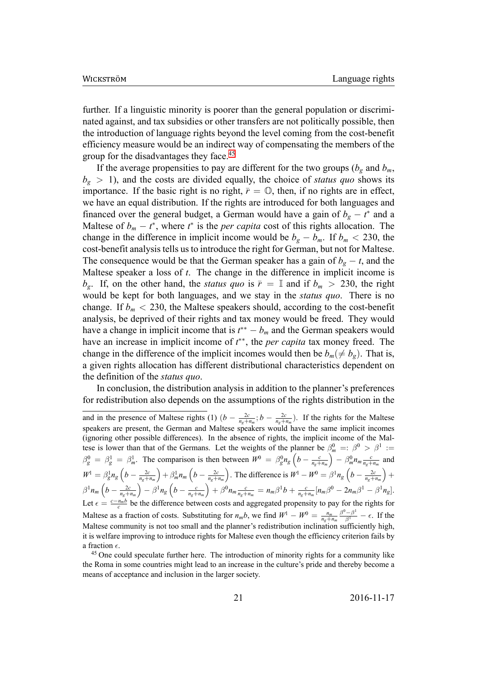further. If a linguistic minority is poorer than the general population or discriminated against, and tax subsidies or other transfers are not politically possible, then the introduction of language rights beyond the level coming from the cost-benefit efficiency measure would be an indirect way of compensating the members of the group for the disadvantages they face.<sup>45</sup>

If the average propensities to pay are different for the two groups ( $b_g$  and  $b_m$ ,  $b_g$  > 1), and the costs are divided equally, the choice of *status quo* shows its importance. If the basic ri[gh](#page-21-0)t is no right,  $\bar{r} = \mathbb{O}$ , then, if no rights are in effect, we have an equal distribution. If the rights are introduced for both languages and financed over the general budget, a German would have a gain of  $b_g - t^*$  and a Maltese of  $b_m - t^*$ , where  $t^*$  is the *per capita* cost of this rights allocation. The change in the difference in implicit income would be  $b_g - b_m$ . If  $b_m < 230$ , the cost-benefit analysis tells us to introduce the right for German, but not for Maltese. The consequence would be that the German speaker has a gain of  $b_g - t$ , and the Maltese speaker a loss of *t*. The change in the difference in implicit income is  $b_g$ . If, on the other hand, the *status quo* is  $\bar{r} = \mathbb{I}$  and if  $b_m > 230$ , the right would be kept for both languages, and we stay in the *status quo*. There is no change. If  $b_m < 230$ , the Maltese speakers should, according to the cost-benefit analysis, be deprived of their rights and tax money would be freed. They would have a change in implicit income that is  $t^* - b_m$  and the German speakers would have an increase in implicit income of *t ∗∗*, the *per capita* tax money freed. The change in the difference of the implicit incomes would then be  $b_m (\neq b_g)$ . That is, a given rights allocation has different distributional characteristics dependent on the definition of the *status quo*.

In conclusion, the distribution analysis in addition to the planner's preferences for redistribution also depends on the assumptions of the rights distribution in the

<span id="page-21-0"></span><sup>45</sup> One could speculate further here. The introduction of minority rights for a community like the Roma in some countries might lead to an increase in the culture's pride and thereby become a means of acceptance and inclusion in the larger society.

and in the presence of Maltese rights (1)  $(b - \frac{2c}{n_g + n_m}; b - \frac{2c}{n_g + n_m})$ . If the rights for the Maltese speakers are present, the German and Maltese speakers would have the same implicit incomes (ignoring other possible differences). In the absence of rights, the implicit income of the Maltese is lower than that of the Germans. Let the weights of the planner be  $\beta_m^0 =: \beta^0 > \beta^1 :=$  $\beta_g^0 = \beta_g^1 = \beta_m^1$ . The comparison is then between  $W^0 = \beta_g^0 n_g \left( b - \frac{c}{n_g + n_m} \right)$  $\int$ <sup>*n*</sup> –  $\beta_m^0 n_m \frac{c}{n_g + n_m}$  and  $W^1 = \beta_g^1 n_g \left( b - \frac{2c}{n_g + n_m} \right)$  $\left( b - \frac{2c}{n_g + n_m} \right)$ ). The difference is  $W^1 - W^0 = \beta^1 n_g \left( b - \frac{2c}{n_g + n_m} \right)$  $\big)$  +  $\beta^1 n_m \left( b - \frac{2c}{n_g + n_m} \right)$  $\int -\beta^1 n_g \left(b - \frac{c}{n_g + n_m}\right)$  $\Big) + \beta^0 n_m \frac{c}{n_g + n_m} = n_m \beta^1 b + \frac{c}{n_g + n_m} [n_m \beta^0 - 2n_m \beta^1 - \beta^1 n_g].$ Let  $\epsilon = \frac{c - n_m b}{c}$  be the difference between costs and aggregated propensity to pay for the rights for Maltese as a fraction of costs. Substituting for  $n_m b$ , we find  $W^1 - W^0 = \frac{n_m}{n_g + n_m} \frac{\beta^0 - \beta^1}{\beta^1} - \epsilon$ . If the Maltese community is not too small and the planner's redistribution inclination sufficiently high, it is welfare improving to introduce rights for Maltese even though the efficiency criterion fails by a fraction *ϵ*.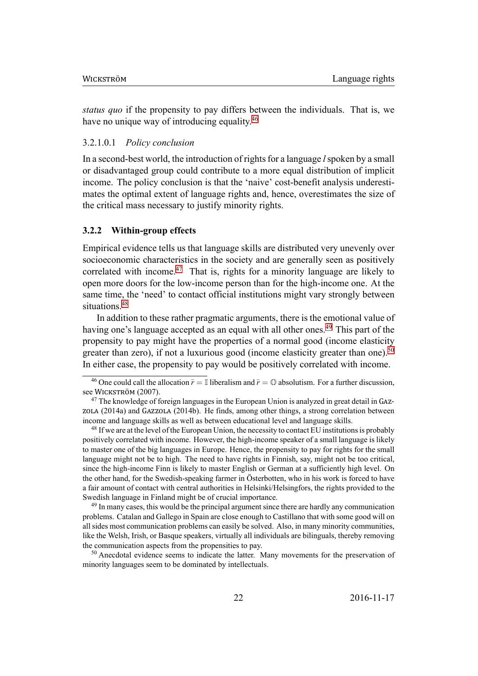*status quo* if the propensity to pay differs between the individuals. That is, we have no unique way of introducing equality.<sup>46</sup>

#### 3.2.1.0.1 *Policy conclusion*

In a second-best world, the introduction of ri[gh](#page-22-0)ts for a language *l* spoken by a small or disadvantaged group could contribute to a more equal distribution of implicit income. The policy conclusion is that the 'naive' cost-benefit analysis underestimates the optimal extent of language rights and, hence, overestimates the size of the critical mass necessary to justify minority rights.

#### **3.2.2 Within-group effects**

Empirical evidence tells us that language skills are distributed very unevenly over socioeconomic characteristics in the society and are generally seen as positively correlated with income.<sup>47</sup> That is, rights for a minority language are likely to open more doors for the low-income person than for the high-income one. At the same time, the 'need' to contact official institutions might vary strongly between situations.<sup>48</sup>

In addition to these rather pragmatic arguments, there is the emotional value of having one's language accepted as an equal with all other ones.<sup>49</sup> This part of the propensit[y t](#page-22-1)o pay might have the properties of a normal good (income elasticity greater than zero), if not a luxurious good (income elasticity greater than one).<sup>50</sup> In either case, the propensity to pay would be positively correl[ate](#page-22-2)d with income.

<span id="page-22-1"></span><span id="page-22-0"></span><sup>48</sup> If we are at the level of the European Union, the necessity to contact EU institutions is probably positively correlated with income. However, the high-income speaker of a small language is likely to master one of the big languages in Europe. Hence, the propensity to pay for rights for the small language might not be to high. The need to have rights in Finnish, say, might not be too critical, since the high-income Finn is likely to master English or German at a sufficiently high level. On the other hand, for the Swedish-speaking farmer in Österbotten, who in his work is forced to have a fair amount of contact with central authorities in Helsinki/Helsingfors, the rights provided to the Swedish language in Finland might be of crucial importance.

<sup>49</sup> In many cases, this would be the principal argument since there are hardly any communication problems. Catalan and Gallego in Spain are close enough to Castillano that with some good will on all sides most communication problems can easily be solved. Also, in many minority communities, like the Welsh, Irish, or Basque speakers, virtually all individuals are bilinguals, thereby removing the communication aspects from the propensities to pay.

<span id="page-22-2"></span><sup>50</sup> Anecdotal evidence seems to indicate the latter. Many movements for the preservation of minority languages seem to be dominated by intellectuals.

<sup>&</sup>lt;sup>46</sup> One could call the allocation  $\bar{r} = \mathbb{I}$  liberalism and  $\bar{r} = \mathbb{O}$  absolutism. For a further discussion, see WICKSTRÖM (2007).

 $47$  The knowledge of foreign languages in the European Union is analyzed in great detail in GAZ- $ZOLA (2014a)$  and GAZZOLA (2014b). He finds, among other things, a strong correlation between income and language skills as well as between educational level and language skills.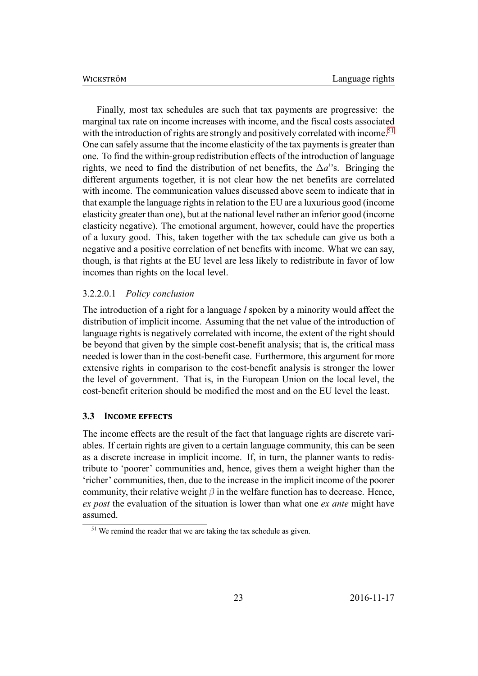Finally, most tax schedules are such that tax payments are progressive: the marginal tax rate on income increases with income, and the fiscal costs associated with the introduction of rights are strongly and positively correlated with income.<sup>51</sup> One can safely assume that the income elasticity of the tax payments is greater than one. To find the within-group redistribution effects of the introduction of language rights, we need to find t[he](#page-23-0) distribution of net benefits, the  $\Delta a^{i}$ 's. Bringing the different arguments together, it is not clear how the net benefits are correlated with income. The communication values discussed above seem to indicate that in that example the language rights in relation to the EU are a luxurious good (income elasticity greater than one), but at the national level rather an inferior good (income elasticity negative). The emotional argument, however, could have the properties of a luxury good. This, taken together with the tax schedule can give us both a negative and a positive correlation of net benefits with income. What we can say, though, is that rights at the EU level are less likely to redistribute in favor of low incomes than rights on the local level.

## 3.2.2.0.1 *Policy conclusion*

The introduction of a right for a language *l* spoken by a minority would affect the distribution of implicit income. Assuming that the net value of the introduction of language rights is negatively correlated with income, the extent of the right should be beyond that given by the simple cost-benefit analysis; that is, the critical mass needed is lower than in the cost-benefit case. Furthermore, this argument for more extensive rights in comparison to the cost-benefit analysis is stronger the lower the level of government. That is, in the European Union on the local level, the cost-benefit criterion should be modified the most and on the EU level the least.

#### **3.3 INCOME EFFECTS**

The income effects are the result of the fact that language rights are discrete variables. If certain rights are given to a certain language community, this can be seen as a discrete increase in implicit income. If, in turn, the planner wants to redistribute to 'poorer' communities and, hence, gives them a weight higher than the 'richer' communities, then, due to the increase in the implicit income of the poorer community, their relative weight  $\beta$  in the welfare function has to decrease. Hence, *ex post* the evaluation of the situation is lower than what one *ex ante* might have assumed.

<span id="page-23-0"></span><sup>&</sup>lt;sup>51</sup> We remind the reader that we are taking the tax schedule as given.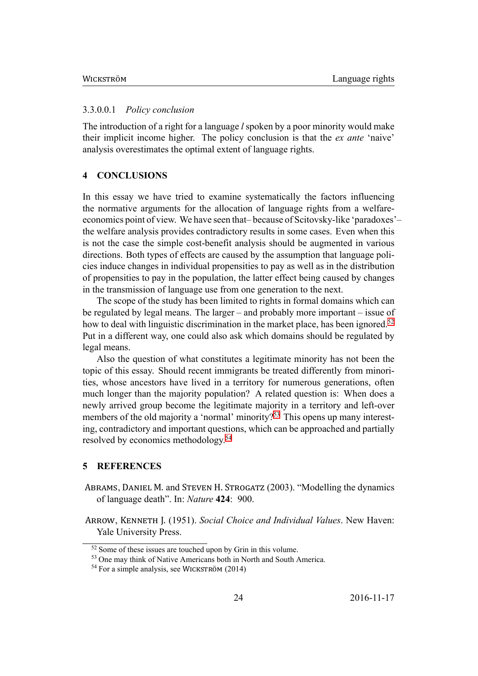#### 3.3.0.0.1 Policy conclusion

The introduction of a right for a language *l* spoken by a poor minority would make their implicit income higher. The policy conclusion is that the *ex ante* 'naive' analysis overestimates the optimal extent of language rights.

#### 4 CONCLUSIONS

In this essay we have tried to examine systematically the factors influencing the normative arguments for the allocation of language rights from a welfareeconomics point of view. We have seen that-because of Scitovsky-like 'paradoxes'the welfare analysis provides contradictory results in some cases. Even when this is not the case the simple cost-benefit analysis should be augmented in various directions. Both types of effects are caused by the assumption that language policies induce changes in individual propensities to pay as well as in the distribution of propensities to pay in the population, the latter effect being caused by changes in the transmission of language use from one generation to the next.

The scope of the study has been limited to rights in formal domains which can be regulated by legal means. The larger – and probably more important – issue of how to deal with linguistic discrimination in the market place, has been ignored.<sup>52</sup> Put in a different way, one could also ask which domains should be regulated by legal means.

Also the question of what constitutes a legitimate minority has not been the topic of this essay. Should recent immigrants be treated differently from minorities, whose ancestors have lived in a territory for numerous generations, often much longer than the majority population? A related question is: When does a newly arrived group become the legitimate majority in a territory and left-over members of the old majority a 'normal' minority?<sup>53</sup> This opens up many interesting, contradictory and important questions, which can be approached and partially resolved by economics methodology.<sup>54</sup>

#### $\overline{\mathbf{5}}$ **REFERENCES**

ABRAMS, DANIEL M. and STEVEN H. STROGATZ (2003). "Modelling the dynamics of language death". In: *Nature* 424: 900.

ARROW, KENNETH J. (1951). Social Choice and Individual Values. New Haven: Yale University Press.

<sup>&</sup>lt;sup>52</sup> Some of these issues are touched upon by Grin in this volume.

<sup>&</sup>lt;sup>53</sup> One may think of Native Americans both in North and South America.

<span id="page-24-0"></span> $54$  For a simple analysis, see WICKSTRÖM (2014)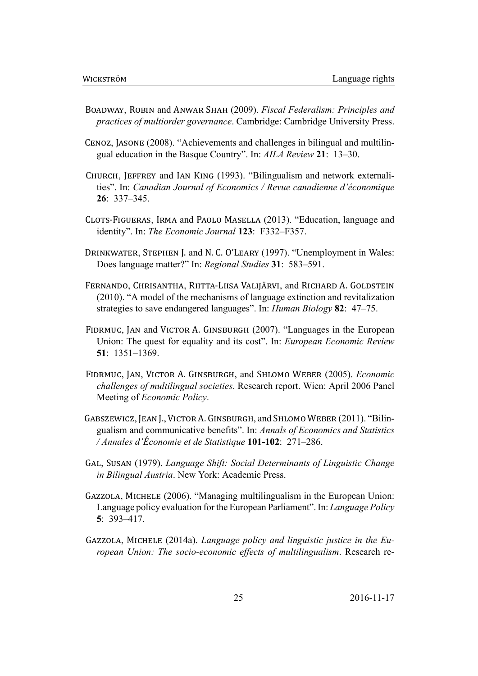- BOADWAY, ROBIN and ANWAR SHAH (2009). Fiscal Federalism: Principles and *practices of multiorder governance.* Cambridge: Cambridge University Press.
- CENOZ, JASONE (2008). "Achievements and challenges in bilingual and multilingual education in the Basque Country". In: AILA Review 21: 13-30.
- CHURCH, JEFFREY and IAN KING (1993). "Bilingualism and network externalities". In: Canadian Journal of Economics / Revue canadienne d'économique  $26: 337 - 345.$
- CLOTS-FIGUERAS, IRMA and PAOLO MASELLA (2013). "Education, language and identity". In: The Economic Journal 123: F332-F357.
- DRINKWATER, STEPHEN J. and N. C. O'LEARY (1997). "Unemployment in Wales: Does language matter?" In: Regional Studies 31: 583-591.
- FERNANDO, CHRISANTHA, RIITTA-LIISA VALIJÄRVI, and RICHARD A. GOLDSTEIN (2010). "A model of the mechanisms of language extinction and revitalization strategies to save endangered languages". In: *Human Biology* 82: 47–75.
- FIDRMUC, JAN and VICTOR A. GINSBURGH (2007). "Languages in the European Union: The quest for equality and its cost". In: *European Economic Review*  $51: 1351 - 1369.$
- FIDRMUC, JAN, VICTOR A. GINSBURGH, and SHLOMO WEBER (2005). Economic challenges of multilingual societies. Research report. Wien: April 2006 Panel Meeting of *Economic Policy*.
- GABSZEWICZ, JEAN J., VICTOR A. GINSBURGH, and SHLOMO WEBER (2011). "Bilingualism and communicative benefits". In: Annals of Economics and Statistics / Annales d'Économie et de Statistique 101-102: 271-286.
- GAL, SUSAN (1979). Language Shift: Social Determinants of Linguistic Change in Bilingual Austria. New York: Academic Press.
- GAZZOLA, MICHELE (2006). "Managing multilingualism in the European Union: Language policy evaluation for the European Parliament". In: Language Policy  $5.393 - 417$
- GAZZOLA, MICHELE  $(2014a)$ . Language policy and linguistic justice in the European Union: The socio-economic effects of multilingualism. Research re-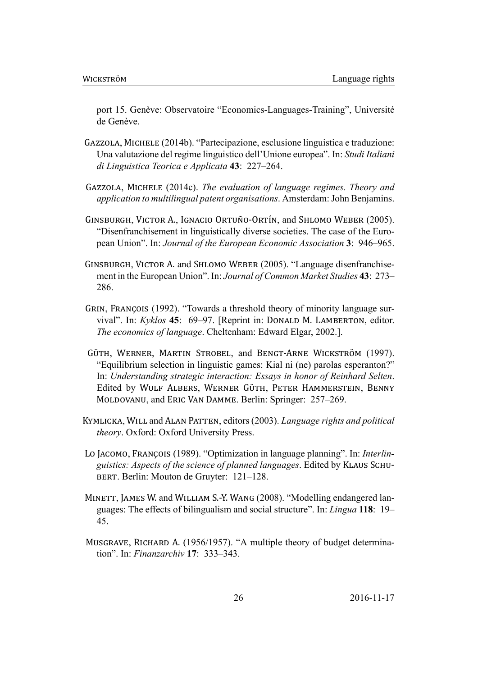port 15. Genève: Observatoire "Economics-Languages-Training", Université de Genève.

- GAZZOLA, MICHELE (2014b). "Partecipazione, esclusione linguistica e traduzione: Una valutazione del regime linguistico dell'Unione europea". In: Studi Italiani di Linguistica Teorica e Applicata 43: 227-264.
- GAZZOLA, MICHELE (2014c). The evaluation of language regimes. Theory and *application to multilingual patent organisations.* Amsterdam: John Benjamins.
- GINSBURGH, VICTOR A., IGNACIO ORTUÑO-ORTÍN, and SHLOMO WEBER (2005). "Disenfranchisement in linguistically diverse societies. The case of the European Union". In: Journal of the European Economic Association 3: 946–965.
- GINSBURGH, VICTOR A. and SHLOMO WEBER (2005). "Language disenfranchisement in the European Union". In: Journal of Common Market Studies 43: 273– 286.
- GRIN, FRANÇOIS (1992). "Towards a threshold theory of minority language survival". In: Kyklos 45: 69–97. [Reprint in: DONALD M. LAMBERTON, editor. *The economics of language.* Cheltenham: Edward Elgar, 2002.].
- GÜTH, WERNER, MARTIN STROBEL, and BENGT-ARNE WICKSTRÖM (1997). "Equilibrium selection in linguistic games: Kial ni (ne) parolas esperanton?" In: Understanding strategic interaction: Essays in honor of Reinhard Selten. Edited by WULF ALBERS, WERNER GÜTH, PETER HAMMERSTEIN, BENNY MOLDOVANU, and ERIC VAN DAMME. Berlin: Springer: 257–269.
- KYMLICKA, WILL and ALAN PATTEN, editors (2003). Language rights and political theory. Oxford: Oxford University Press.
- LO JACOMO, FRANÇOIS (1989). "Optimization in language planning". In: *Interlin*guistics: Aspects of the science of planned languages. Edited by KLAUS SCHU-BERT. Berlin: Mouton de Gruyter: 121-128.
- MINETT, JAMES W, and WILLIAM S.-Y. WANG (2008). "Modelling endangered languages: The effects of bilingualism and social structure". In: *Lingua* 118: 19– 45.
- MUSGRAVE, RICHARD A. (1956/1957). "A multiple theory of budget determination" In Finanzarchiv  $17 \cdot 333 - 343$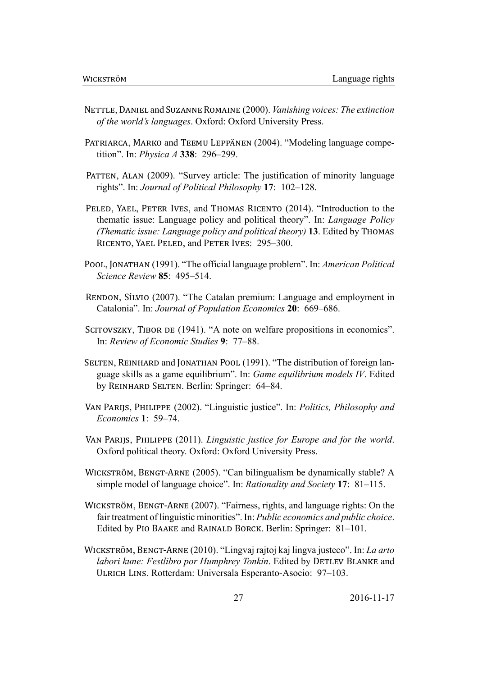- NETTLE, DANIEL and SUZANNE ROMAINE (2000). Vanishing voices: The extinction of the world's languages. Oxford: Oxford University Press.
- PATRIARCA, MARKO and TEEMU LEPPÄNEN (2004). "Modeling language competition". In: *Physica A* 338: 296–299.
- PATTEN, ALAN (2009). "Survey article: The justification of minority language rights". In: Journal of Political Philosophy 17: 102-128.
- PELED, YAEL, PETER IVES, and THOMAS RICENTO (2014). "Introduction to the thematic issue: Language policy and political theory". In: *Language Policy* (Thematic issue: Language policy and political theory) 13. Edited by THOMAS RICENTO, YAEL PELED, and PETER IVES: 295-300.
- POOL, JONATHAN (1991). "The official language problem". In: American Political Science Review 85: 495-514.
- RENDON, SÍLVIO (2007). "The Catalan premium: Language and employment in Catalonia". In: Journal of Population Economics 20: 669-686.
- SCITOVSZKY, TIBOR DE (1941). "A note on welfare propositions in economics". In: Review of Economic Studies 9: 77–88.
- SELTEN, REINHARD and JONATHAN POOL (1991). "The distribution of foreign language skills as a game equilibrium". In: Game equilibrium models IV. Edited by REINHARD SELTEN. Berlin: Springer: 64–84.
- VAN PARIJS, PHILIPPE (2002). "Linguistic justice". In: Politics, Philosophy and Economics 1: 59-74.
- VAN PARIJS, PHILIPPE (2011). Linguistic justice for Europe and for the world. Oxford political theory. Oxford: Oxford University Press.
- WICKSTRÖM, BENGT-ARNE (2005). "Can bilingualism be dynamically stable? A simple model of language choice". In: *Rationality and Society* 17: 81–115.
- WICKSTRÖM, BENGT-ARNE (2007). "Fairness, rights, and language rights: On the fair treatment of linguistic minorities". In: Public economics and public choice. Edited by PIO BAAKE and RAINALD BORCK. Berlin: Springer: 81–101.
- WICKSTRÖM, BENGT-ARNE (2010). "Lingvaj rajtoj kaj lingva justeco". In: La arto labori kune: Festlibro por Humphrey Tonkin. Edited by DETLEV BLANKE and ULRICH LINS. Rotterdam: Universala Esperanto-Asocio: 97-103.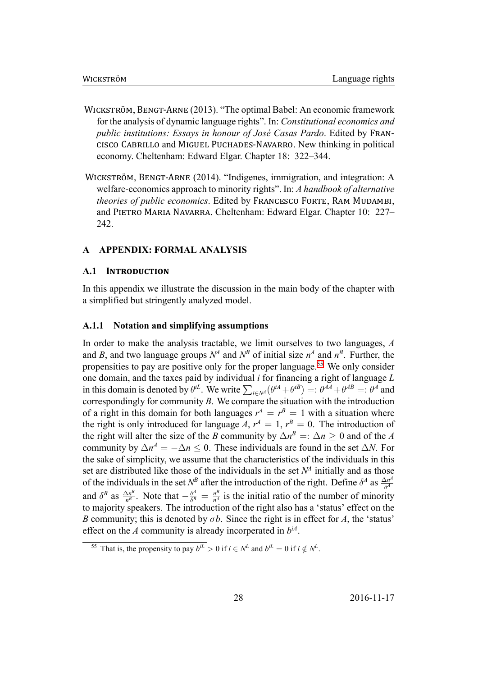- WICKSTRÖM, BENGT-ARNE (2013). "The optimal Babel: An economic framework for the analysis of dynamic language rights". In: *Constitutional economics and public institutions: Essays in honour of José Casas Pardo. Edited by FRAN-*CISCO CABRILLO and MIGUEL PUCHADES-NAVARRO. New thinking in political economy. Cheltenham: Edward Elgar. Chapter 18: 322–344.
- WICKSTRÖM, BENGT-ARNE (2014). "Indigenes, immigration, and integration: A welfare-economics approach to minority rights". In: *A handbook of alternative theories of public economics*. Edited by FRANCESCO FORTE, RAM MUDAMBI, and PIETRO MARIA NAVARRA. Cheltenham: Edward Elgar. Chapter 10: 227– 242.

#### **A APPENDIX: FORMAL ANALYSIS**

#### **A.1 INTRODUCTION**

In this appendix we illustrate the discussion in the main body of the chapter with a simplified but stringently analyzed model.

#### **A.1.1 Notation and simplifying assumptions**

In order to make the analysis tractable, we limit ourselves to two languages, *A* and *B*, and two language groups  $N^A$  and  $N^B$  of initial size  $n^A$  and  $n^B$ . Further, the propensities to pay are positive only for the proper language.<sup>55</sup> We only consider one domain, and the taxes paid by individual *i* for financing a right of language *L* in this domain is denoted by  $\theta^{iL}$ . We write  $\sum_{i \in \mathbb{N}^A} (\theta^{iA} + \theta^{iB}) =: \theta^{AA} + \theta^{AB} =: \theta^A$  and correspondingly for community *B*. We compare the situation [wi](#page-28-0)th the introduction of a right in this domain for both languages  $r^A = r^B = 1$  with a situation where the right is only introduced for language A,  $r^4 = 1$ ,  $r^B = 0$ . The introduction of the right will alter the size of the *B* community by  $\Delta n^B =: \Delta n \ge 0$  and of the *A* community by  $\Delta n^4 = -\Delta n \leq 0$ . These individuals are found in the set  $\Delta N$ . For the sake of simplicity, we assume that the characteristics of the individuals in this set are distributed like those of the individuals in the set  $N<sup>A</sup>$  initially and as those of the individuals in the set  $N^B$  after the introduction of the right. Define  $\delta^A$  as  $\frac{\Delta n^A}{n^A}$ *n A* and  $\delta^B$  as  $\frac{\Delta n^B}{n^B}$  $\frac{\Delta n^B}{n^B}$ . Note that  $-\frac{\delta^A}{\delta^B}$  $\frac{\delta^A}{\delta^B} = \frac{n^B}{n^A}$  $\frac{n^b}{n^d}$  is the initial ratio of the number of minority to majority speakers. The introduction of the right also has a 'status' effect on the *B* community; this is denoted by  $\sigma b$ . Since the right is in effect for *A*, the 'status' effect on the  $A$  community is already incorperated in  $b^{iA}$ .

<span id="page-28-0"></span><sup>&</sup>lt;sup>55</sup> That is, the propensity to pay  $b^{iL} > 0$  if  $i \in N^L$  and  $b^{iL} = 0$  if  $i \notin N^L$ .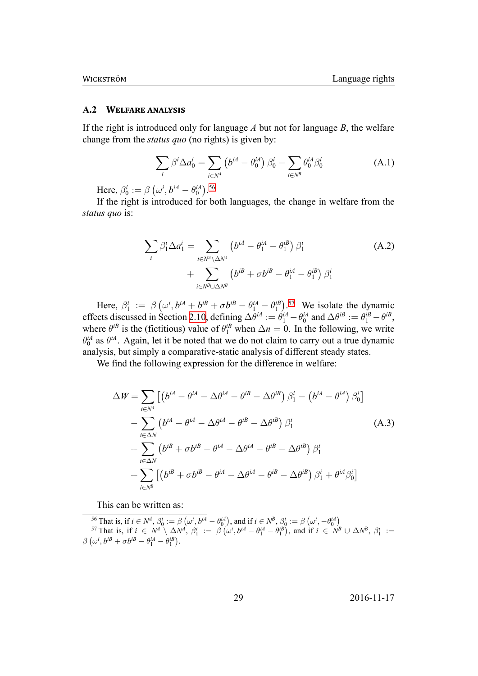#### **A.2 WELFARE ANALYSIS**

If the right is introduced only for language *A* but not for language *B*, the welfare change from the *status quo* (no rights) is given by:

$$
\sum_{i} \beta^{i} \Delta a_{0}^{i} = \sum_{i \in N^{A}} \left( b^{iA} - \theta_{0}^{iA} \right) \beta_{0}^{i} - \sum_{i \in N^{B}} \theta_{0}^{iA} \beta_{0}^{i} \tag{A.1}
$$

Here,  $\beta_0^i := \beta \left( \omega^i, b^{iA} - \theta_0^{iA} \right)$ .<sup>56</sup>

If the right is introduced for both languages, the change in welfare from the *status quo* is:

$$
\sum_{i} \beta_{1}^{i} \Delta a_{1}^{i} = \sum_{i \in \mathbb{N}^{A} \setminus \Delta \mathbb{N}^{A}} \left( b^{iA} - \theta_{1}^{iA} - \theta_{1}^{iB} \right) \beta_{1}^{i} + \sum_{i \in \mathbb{N}^{B} \cup \Delta \mathbb{N}^{B}} \left( b^{iB} + \sigma b^{iB} - \theta_{1}^{iA} - \theta_{1}^{iB} \right) \beta_{1}^{i}
$$
\n(A.2)

Here,  $\beta_1^i := \beta (\omega^i, b^{iA} + b^{iB} + \sigma b^{iB} - \theta_1^{iA} - \theta_1^{iB})$ .<sup>57</sup> We isolate the dynamic effects discussed in Section 2.10, defining  $\Delta \theta^{iA} := \theta_1^{iA} - \theta_0^{iA}$  and  $\Delta \theta^{iB} := \theta_1^{iB} - \theta^{iB}$ , where  $\theta^{iB}$  is the (fictitious) value of  $\theta_1^{iB}$  when  $\Delta n = 0$ . In the following, we write  $\theta_0^{iA}$  as  $\theta^{iA}$ . Again, let it be noted that we do not claim [to](#page-29-0) carry out a true dynamic analysis, but simply a com[parati](#page-15-1)ve-static analysis of different steady states.

We find the following expression for the difference in welfare:

$$
\Delta W = \sum_{i \in \mathcal{N}^A} \left[ \left( b^{iA} - \theta^{iA} - \Delta \theta^{iA} - \theta^{iB} - \Delta \theta^{iB} \right) \beta_1^i - \left( b^{iA} - \theta^{iA} \right) \beta_0^i \right] - \sum_{i \in \Delta \mathcal{N}} \left( b^{iA} - \theta^{iA} - \Delta \theta^{iA} - \theta^{iB} - \Delta \theta^{iB} \right) \beta_1^i + \sum_{i \in \Delta \mathcal{N}} \left( b^{iB} + \sigma b^{iB} - \theta^{iA} - \Delta \theta^{iA} - \theta^{iB} - \Delta \theta^{iB} \right) \beta_1^i + \sum_{i \in \mathcal{N}^B} \left[ \left( b^{iB} + \sigma b^{iB} - \theta^{iA} - \Delta \theta^{iA} - \theta^{iB} - \Delta \theta^{iB} \right) \beta_1^i + \theta^{iA} \beta_0^i \right]
$$
(A.3)

This can be written as:

<span id="page-29-0"></span><sup>56</sup> That is, if  $i \in N^A$ ,  $\beta_0^i := \beta (\omega^i, b^{iA} - \theta_0^{iA})$ , and if  $i \in N^B$ ,  $\beta_0^i := \beta (\omega^i, -\theta_0^{iA})$ <sup>57</sup> That is, if  $i \in N^{\mathcal{A}} \setminus \Delta N^{\mathcal{A}}$ ,  $\beta_1^i := \beta \left( \omega^i, b^{\mathcal{A}} - \theta_1^{\mathcal{A}} - \theta_1^{\mathcal{B}} \right)$ , and if  $i \in N^{\mathcal{B}} \cup \Delta N^{\mathcal{B}}$ ,  $\beta_1^i :=$  $\beta\left(\omega^i, b^{iB} + \sigma b^{iB} - \theta_1^{iA} - \theta_1^{iB}\right).$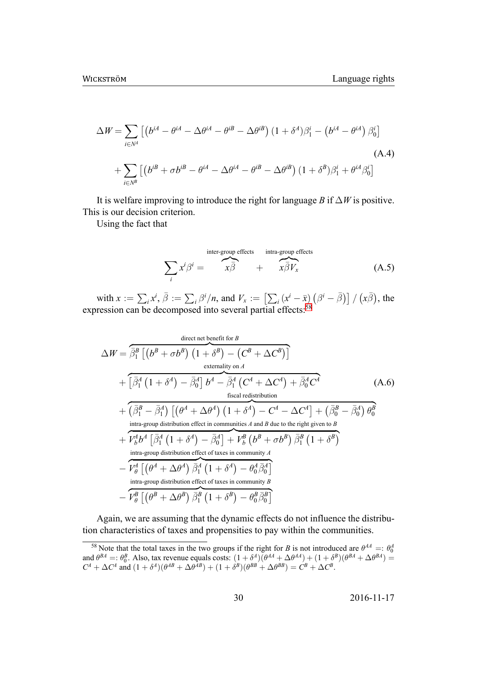$$
\Delta W = \sum_{i \in N^A} \left[ \left( b^{iA} - \theta^{iA} - \Delta \theta^{iA} - \theta^{iB} - \Delta \theta^{iB} \right) (1 + \delta^A) \beta_1^i - \left( b^{iA} - \theta^{iA} \right) \beta_0^i \right]
$$
  
+ 
$$
\sum_{i \in N^B} \left[ \left( b^{iB} + \sigma b^{iB} - \theta^{iA} - \Delta \theta^{iA} - \theta^{iB} - \Delta \theta^{iB} \right) (1 + \delta^B) \beta_1^i + \theta^{iA} \beta_0^i \right]
$$
(A.4)

It is welfare improving to introduce the right for language *B* if ∆*W* is positive. This is our decision criterion.

Using the fact that

<span id="page-30-0"></span>
$$
\sum_{i} x^{i} \beta^{i} = \overbrace{x \overline{\beta}}^{\text{inter-group effects}} + \overbrace{x \overline{\beta} V_{x}}^{\text{intra-group effects}} \tag{A.5}
$$

with  $x := \sum_i x^i$ ,  $\overline{\beta} := \sum_i \beta^i/n$ , and  $V_x := \left[\sum_i (x^i - \overline{x}) (\beta^i - \overline{\beta})\right] / (x\overline{\beta})$ , the expression can be decomposed into several partial effects:<sup>58</sup>

$$
\Delta W = \overline{\hat{\beta}_1^B \left[ \left( b^B + \sigma b^B \right) \left( 1 + \delta^B \right) - \left( C^B + \Delta C^B \right) \right]}
$$
  
externality on A  
+ 
$$
\left[ \overline{\beta}_1^A \left( 1 + \delta^A \right) - \overline{\beta}_0^A \right] b^A - \overline{\beta}_1^A \left( C^A + \Delta C^A \right) + \overline{\beta}_0^A C^A
$$
  
fixed redistribution  
+ 
$$
\left( \overline{\beta}_1^B - \overline{\beta}_1^A \right) \left[ \left( \theta^A + \Delta \theta^A \right) \left( 1 + \delta^A \right) - C^A - \Delta C^A \right] + \left( \overline{\beta}_0^B - \overline{\beta}_0^A \right) \theta_0^B
$$
  
intra-group distribution effect in communities A and B due to the right given to B  
+ 
$$
\overline{V_B^A} b^A \left[ \overline{\beta}_1^A \left( 1 + \delta^A \right) - \overline{\beta}_0^A \right] + V_B^B \left( b^B + \sigma b^B \right) \overline{\beta}_1^B \left( 1 + \delta^B \right)
$$
  
intra-group distribution effect of taxes in community A  
- 
$$
\overline{V_B^A} \left[ \left( \theta^A + \Delta \theta^A \right) \overline{\beta}_1^A \left( 1 + \delta^A \right) - \theta_0^A \overline{\beta}_0^A \right]
$$
  
intra-group distribution effect of taxes in community B  
- 
$$
\overline{V_B^B} \left[ \left( \theta^B + \Delta \theta^B \right) \overline{\beta}_1^B \left( 1 + \delta^B \right) - \theta_0^B \overline{\beta}_0^B \right]
$$

Again, we are assuming that the dynamic effects do not influence the distribution characteristics of taxes and propensities to pay within the communities.

<sup>&</sup>lt;sup>58</sup> Note that the total taxes in the two groups if the right for *B* is not introduced are  $\theta^{AA} = \theta_0^A$  and  $\theta^{BA} = \theta_0^B$ . Also, tax revenue equals costs:  $(1 + \delta^A)(\theta^{AA} + \Delta \theta^{AA}) + (1 + \delta^B)(\theta^{BA} + \Delta \theta^{BA}) =$  $C^A + \Delta C^A$  and  $(1 + \delta^A)(\theta^{AB} + \Delta \theta^{AB}) + (1 + \delta^B)(\theta^{BB} + \Delta \theta^{BB}) = C^B + \Delta C^B$ .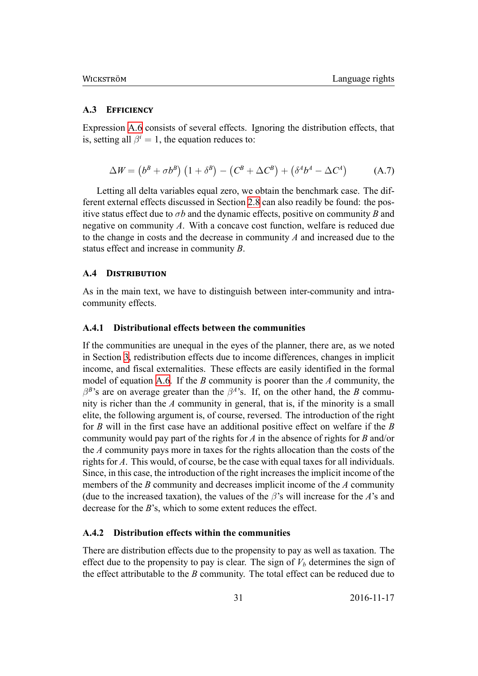#### **A.3 EFFICIENCY**

Expression A.6 consists of several effects. Ignoring the distribution effects, that is, setting all  $\beta^i = 1$ , the equation reduces to:

$$
\Delta W = (b^B + \sigma b^B) (1 + \delta^B) - (C^B + \Delta C^B) + (\delta^A b^A - \Delta C^A)
$$
 (A.7)

Letting all delta variables equal zero, we obtain the benchmark case. The different external effects discussed in Section 2.8 can also readily be found: the positive status effect due to *σb* and the dynamic effects, positive on community *B* and negative on community *A*. With a concave cost function, welfare is reduced due to the change in costs and the decrease in [com](#page-14-0)munity *A* and increased due to the status effect and increase in community *B*.

#### **A.4 DISTRIBUTION**

As in the main text, we have to distinguish between inter-community and intracommunity effects.

#### **A.4.1 Distributional effects between the communities**

If the communities are unequal in the eyes of the planner, there are, as we noted in Section 3, redistribution effects due to income differences, changes in implicit income, and fiscal externalities. These effects are easily identified in the formal model of equation A.6. If the *B* community is poorer than the *A* community, the  $\beta^B$ 's are o[n](#page-19-0) average greater than the  $\beta^A$ 's. If, on the other hand, the *B* community is richer than the *A* community in general, that is, if the minority is a small elite, the following [argu](#page-30-0)ment is, of course, reversed. The introduction of the right for *B* will in the first case have an additional positive effect on welfare if the *B* community would pay part of the rights for *A* in the absence of rights for *B* and/or the *A* community pays more in taxes for the rights allocation than the costs of the rights for *A*. This would, of course, be the case with equal taxes for all individuals. Since, in this case, the introduction of the right increases the implicit income of the members of the *B* community and decreases implicit income of the *A* community (due to the increased taxation), the values of the *β*'s will increase for the *A*'s and decrease for the *B*'s, which to some extent reduces the effect.

#### **A.4.2 Distribution effects within the communities**

There are distribution effects due to the propensity to pay as well as taxation. The effect due to the propensity to pay is clear. The sign of  $V<sub>b</sub>$  determines the sign of the effect attributable to the *B* community. The total effect can be reduced due to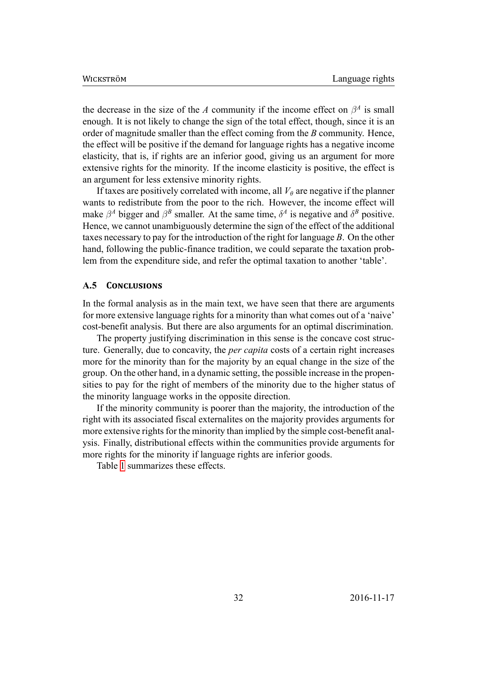the decrease in the size of the *A* community if the income effect on  $\beta^A$  is small enough. It is not likely to change the sign of the total effect, though, since it is an order of magnitude smaller than the effect coming from the *B* community. Hence, the effect will be positive if the demand for language rights has a negative income elasticity, that is, if rights are an inferior good, giving us an argument for more extensive rights for the minority. If the income elasticity is positive, the effect is an argument for less extensive minority rights.

If taxes are positively correlated with income, all  $V_\theta$  are negative if the planner wants to redistribute from the poor to the rich. However, the income effect will make  $\beta^A$  bigger and  $\beta^B$  smaller. At the same time,  $\delta^A$  is negative and  $\delta^B$  positive. Hence, we cannot unambiguously determine the sign of the effect of the additional taxes necessary to pay for the introduction of the right for language *B*. On the other hand, following the public-finance tradition, we could separate the taxation problem from the expenditure side, and refer the optimal taxation to another 'table'.

#### **A.5 CONCLUSIONS**

In the formal analysis as in the main text, we have seen that there are arguments for more extensive language rights for a minority than what comes out of a 'naive' cost-benefit analysis. But there are also arguments for an optimal discrimination.

The property justifying discrimination in this sense is the concave cost structure. Generally, due to concavity, the *per capita* costs of a certain right increases more for the minority than for the majority by an equal change in the size of the group. On the other hand, in a dynamic setting, the possible increase in the propensities to pay for the right of members of the minority due to the higher status of the minority language works in the opposite direction.

If the minority community is poorer than the majority, the introduction of the right with its associated fiscal externalites on the majority provides arguments for more extensive rights for the minority than implied by the simple cost-benefit analysis. Finally, distributional effects within the communities provide arguments for more rights for the minority if language rights are inferior goods.

Table 1 summarizes these effects.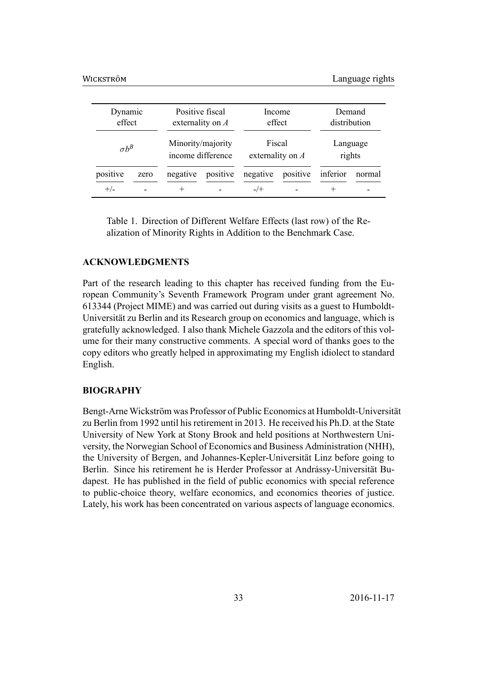| Dynamic      |      | Positive fiscal   |          | Income           |          | Demand       |        |
|--------------|------|-------------------|----------|------------------|----------|--------------|--------|
| effect       |      | externality on A  |          | effect           |          | distribution |        |
| $\sigma b^B$ |      | Minority/majority |          | Fiscal           |          | Language     |        |
|              |      | income difference |          | externality on A |          | rights       |        |
| positive     | zero | negative          | positive | negative         | positive | inferior     | normal |
| $+/-$        |      |                   |          | $-$ / $+$        |          |              |        |

Table 1. Direction of Different Welfare Effects (last row) of the Realization of Minority Rights in Addition to the Benchmark Case.

## **ACKNOWLEDGMENTS**

Part of the research leading to this chapter has received funding from the European Community's Seventh Framework Program under grant agreement No. 613344 (Project MIME) and was carried out during visits as a guest to Humboldt-Universität zu Berlin and its Research group on economics and language, which is gratefully acknowledged. I also thank Michele Gazzola and the editors of this volume for their many constructive comments. A special word of thanks goes to the copy editors who greatly helped in approximating my English idiolect to standard English.

### **BIOGRAPHY**

Bengt-Arne Wickström was Professor of Public Economics at Humboldt-Universität zu Berlin from 1992 until his retirement in 2013. He received his Ph.D. at the State University of New York at Stony Brook and held positions at Northwestern University, the Norwegian School of Economics and Business Administration (NHH), the University of Bergen, and Johannes-Kepler-Universität Linz before going to Berlin. Since his retirement he is Herder Professor at Andrássy-Universität Budapest. He has published in the field of public economics with special reference to public-choice theory, welfare economics, and economics theories of justice. Lately, his work has been concentrated on various aspects of language economics.